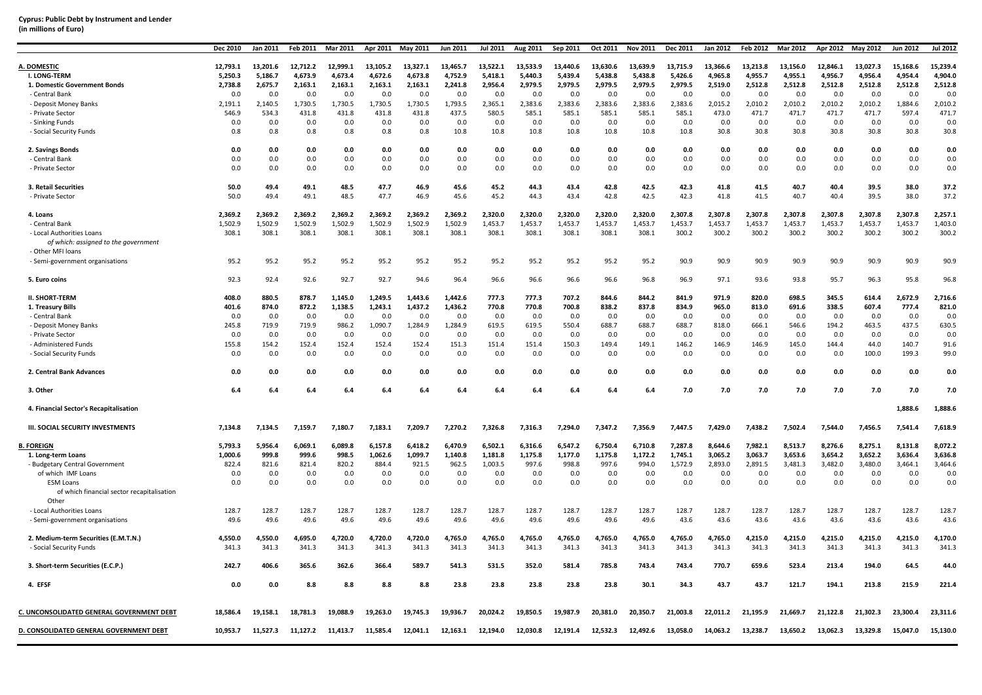| (in millions of Euro) |  |
|-----------------------|--|
|-----------------------|--|

|                                                      | Dec 2010     | Jan 2011     | Feb 2011     | Mar 2011     | Apr 2011     | May 2011     | Jun 2011     | <b>Jul 2011</b> | Aug 2011     | Sep 2011     | Oct 2011            | <b>Nov 2011</b> | Dec 2011       | Jan 2012       | <b>Feb 2012</b> | Mar 2012       | Apr 2012       | May 2012       | Jun 2012       | <b>Jul 2012</b> |
|------------------------------------------------------|--------------|--------------|--------------|--------------|--------------|--------------|--------------|-----------------|--------------|--------------|---------------------|-----------------|----------------|----------------|-----------------|----------------|----------------|----------------|----------------|-----------------|
|                                                      | 12.793.1     | 13,201.6     | 12.712.2     | 12.999.1     | 13.105.2     | 13.327.1     | 13.465.7     | 13.522.1        | 13.533.9     | 13.440.6     |                     | 13.639.9        | 13.715.9       | 13.366.6       | 13.213.8        | 13.156.0       | 12.846.1       | 13.027.3       | 15.168.6       | 15.239.4        |
| A. DOMESTIC<br>I. LONG-TERM                          | 5,250.3      | 5,186.7      | 4,673.9      | 4,673.4      | 4,672.6      | 4,673.8      | 4,752.9      | 5,418.1         | 5,440.3      | 5,439.4      | 13,630.6<br>5,438.8 | 5,438.8         | 5,426.6        | 4,965.8        | 4,955.7         | 4,955.1        | 4,956.7        | 4,956.4        | 4,954.4        | 4,904.0         |
| 1. Domestic Government Bonds                         | 2,738.8      | 2,675.7      | 2,163.1      | 2,163.1      | 2,163.1      | 2,163.1      | 2,241.8      | 2,956.4         | 2,979.5      | 2,979.5      | 2,979.5             | 2,979.5         | 2,979.5        | 2,519.0        | 2,512.8         | 2,512.8        | 2,512.8        | 2,512.8        | 2,512.8        | 2,512.8         |
| - Central Bank                                       | 0.0          | 0.0          | 0.0          | 0.0          | 0.0          | 0.0          | 0.0          | 0.0             | 0.0          | 0.0          | 0.0                 | 0.0             | 0.0            | 0.0            | 0.0             | 0.0            | 0.0            | 0.0            | 0.0            | 0.0             |
| - Deposit Money Banks                                | 2,191.1      | 2,140.5      | 1,730.5      | 1,730.5      | 1,730.5      | 1,730.5      | 1,793.5      | 2,365.1         | 2,383.6      | 2,383.6      | 2,383.6             | 2,383.6         | 2,383.6        | 2,015.2        | 2,010.2         | 2,010.2        | 2,010.2        | 2,010.2        | 1,884.6        | 2,010.2         |
| - Private Sector                                     | 546.9        | 534.3        | 431.8        | 431.8        | 431.8        | 431.8        | 437.5        | 580.5           | 585.1        | 585.1        | 585.1               | 585.1           | 585.1          | 473.0          | 471.7           | 471.7          | 471.7          | 471.7          | 597.4          | 471.7           |
| - Sinking Funds                                      | 0.0          | 0.0          | 0.0          | 0.0          | 0.0          | 0.0          | 0.0          | 0.0             | 0.0          | 0.0          | 0.0                 | 0.0             | 0.0            | 0.0            | 0.0             | 0.0            | 0.0            | 0.0            | 0.0            | 0.0             |
| - Social Security Funds                              | 0.8          | 0.8          | 0.8          | 0.8          | 0.8          | 0.8          | 10.8         | 10.8            | 10.8         | 10.8         | 10.8                | 10.8            | 10.8           | 30.8           | 30.8            | 30.8           | 30.8           | 30.8           | 30.8           | 30.8            |
|                                                      |              |              |              |              |              |              |              |                 |              |              |                     |                 |                |                |                 |                |                |                |                |                 |
| 2. Savings Bonds                                     | 0.0          | 0.0          | 0.0          | 0.0          | 0.0          | 0.0          | 0.0          | 0.0             | 0.0          | 0.0          | 0.0                 | 0.0             | 0.0            | 0.0            | 0.0             | 0.0            | 0.0            | 0.0            | 0.0            | 0.0             |
| - Central Bank                                       | 0.0          | 0.0          | 0.0          | 0.0          | 0.0          | 0.0          | 0.0          | 0.0             | 0.0          | 0.0          | 0.0                 | 0.0             | 0.0            | 0.0            | 0.0             | 0.0            | 0.0            | 0.0            | 0.0            | 0.0             |
| - Private Sector                                     | 0.0          | 0.0          | 0.0          | 0.0          | 0.0          | 0.0          | 0.0          | 0.0             | 0.0          | 0.0          | 0.0                 | 0.0             | 0.0            | 0.0            | 0.0             | 0.0            | 0.0            | 0.0            | 0.0            | 0.0             |
|                                                      |              | 49.4         | 49.1         | 48.5         | 47.7         | 46.9         |              | 45.2            | 44.3         | 43.4         | 42.8                | 42.5            | 42.3           | 41.8           | 41.5            | 40.7           | 40.4           | 39.5           | 38.0           | 37.2            |
| 3. Retail Securities<br>- Private Sector             | 50.0<br>50.0 | 49.4         | 49.1         | 48.5         | 47.7         | 46.9         | 45.6<br>45.6 | 45.2            | 44.3         | 43.4         | 42.8                | 42.5            | 42.3           | 41.8           | 41.5            | 40.7           | 40.4           | 39.5           | 38.0           | 37.2            |
|                                                      |              |              |              |              |              |              |              |                 |              |              |                     |                 |                |                |                 |                |                |                |                |                 |
| 4. Loans                                             | 2,369.2      | 2,369.2      | 2,369.2      | 2,369.2      | 2,369.2      | 2,369.2      | 2,369.2      | 2,320.0         | 2,320.0      | 2,320.0      | 2,320.0             | 2,320.0         | 2,307.8        | 2,307.8        | 2,307.8         | 2,307.8        | 2,307.8        | 2,307.8        | 2,307.8        | 2,257.1         |
| - Central Bank                                       | 1,502.9      | 1,502.9      | 1,502.9      | 1,502.9      | 1,502.9      | 1,502.9      | 1,502.9      | 1,453.7         | 1,453.7      | 1,453.7      | 1,453.7             | 1,453.7         | 1,453.7        | 1,453.7        | 1,453.7         | 1,453.7        | 1,453.7        | 1,453.7        | 1,453.7        | 1,403.0         |
| - Local Authorities Loans                            | 308.1        | 308.1        | 308.1        | 308.1        | 308.1        | 308.1        | 308.1        | 308.1           | 308.1        | 308.1        | 308.1               | 308.1           | 300.2          | 300.2          | 300.2           | 300.2          | 300.2          | 300.2          | 300.2          | 300.2           |
| of which: assigned to the government                 |              |              |              |              |              |              |              |                 |              |              |                     |                 |                |                |                 |                |                |                |                |                 |
| - Other MFI loans<br>- Semi-government organisations | 95.2         | 95.2         | 95.2         | 95.2         | 95.2         | 95.2         | 95.2         | 95.2            | 95.2         | 95.2         | 95.2                | 95.2            | 90.9           | 90.9           | 90.9            | 90.9           | 90.9           | 90.9           | 90.9           | 90.9            |
|                                                      |              |              |              |              |              |              |              |                 |              |              |                     |                 |                |                |                 |                |                |                |                |                 |
| 5. Euro coins                                        | 92.3         | 92.4         | 92.6         | 92.7         | 92.7         | 94.6         | 96.4         | 96.6            | 96.6         | 96.6         | 96.6                | 96.8            | 96.9           | 97.1           | 93.6            | 93.8           | 95.7           | 96.3           | 95.8           | 96.8            |
| <b>II. SHORT-TERM</b>                                | 408.0        | 880.5        | 878.7        | 1,145.0      | 1,249.5      | 1,443.6      | 1,442.6      | 777.3           | 777.3        | 707.2        | 844.6               | 844.2           | 841.9          | 971.9          | 820.0           | 698.5          | 345.5          | 614.4          | 2,672.9        | 2,716.6         |
| 1. Treasury Bills                                    | 401.6        | 874.0        | 872.2        | 1,138.5      | 1,243.1      | 1,437.2      | 1,436.2      | 770.8           | 770.8        | 700.8        | 838.2               | 837.8           | 834.9          | 965.0          | 813.0           | 691.6          | 338.5          | 607.4          | 777.4          | 821.0           |
| - Central Bank                                       | 0.0          | 0.0          | 0.0          | 0.0          | 0.0          | 0.0          | 0.0          | 0.0             | 0.0          | 0.0          | 0.0                 | 0.0             | 0.0            | 0.0            | 0.0             | 0.0            | 0.0            | 0.0            | 0.0            | 0.0             |
| - Deposit Money Banks                                | 245.8        | 719.9        | 719.9        | 986.2        | 1,090.7      | 1,284.9      | 1,284.9      | 619.5           | 619.5        | 550.4        | 688.7               | 688.7           | 688.7          | 818.0          | 666.1           | 546.6          | 194.2          | 463.5          | 437.5          | 630.5           |
| - Private Sector                                     | 0.0          | 0.0          | 0.0          | 0.0          | 0.0          | 0.0          | 0.0          | 0.0             | 0.0          | 0.0          | 0.0                 | 0.0             | 0.0            | 0.0            | 0.0             | 0.0            | 0.0            | 0.0            | 0.0            | 0.0             |
| - Administered Funds                                 | 155.8        | 154.2        | 152.4        | 152.4        | 152.4        | 152.4        | 151.3        | 151.4           | 151.4        | 150.3        | 149.4               | 149.1           | 146.2          | 146.9          | 146.9           | 145.0          | 144.4          | 44.0           | 140.7          | 91.6            |
| - Social Security Funds                              | 0.0          | 0.0          | 0.0          | 0.0          | 0.0          | 0.0          | 0.0          | 0.0             | 0.0          | 0.0          | 0.0                 | 0.0             | 0.0            | 0.0            | 0.0             | 0.0            | 0.0            | 100.0          | 199.3          | 99.0            |
| 2. Central Bank Advances                             | 0.0          | 0.0          | 0.0          | 0.0          | 0.0          | 0.0          | 0.0          | 0.0             | 0.0          | 0.0          | 0.0                 | 0.0             | 0.0            | 0.0            | 0.0             | 0.0            | 0.0            | 0.0            | 0.0            | 0.0             |
| 3. Other                                             | 6.4          | 6.4          | 6.4          | 6.4          | 6.4          | 6.4          | $6.4$        | $6.4\,$         | $6.4$        | $6.4\,$      | 6.4                 | $6.4\,$         | 7.0            | 7.0            | 7.0             | 7.0            | 7.0            | 7.0            | 7.0            | 7.0             |
| 4. Financial Sector's Recapitalisation               |              |              |              |              |              |              |              |                 |              |              |                     |                 |                |                |                 |                |                |                | 1,888.6        | 1,888.6         |
| <b>III. SOCIAL SECURITY INVESTMENTS</b>              | 7,134.8      | 7,134.5      | 7,159.7      | 7,180.7      | 7,183.1      | 7,209.7      | 7,270.2      | 7,326.8         | 7,316.3      | 7,294.0      | 7,347.2             | 7,356.9         | 7,447.5        | 7,429.0        | 7,438.2         | 7,502.4        | 7,544.0        | 7,456.5        | 7,541.4        | 7,618.9         |
| <b>B. FOREIGN</b>                                    |              | 5.956.4      | 6.069.1      | 6.089.8      | 6.157.8      | 6.418.2      | 6.470.9      | 6.502.1         | 6.316.6      | 6.547.2      | 6.750.4             | 6.710.8         | 7.287.8        | 8.644.6        | 7.982.1         | 8.513.7        | 8.276.6        | 8.275.1        | 8.131.8        | 8.072.2         |
|                                                      | 5,793.3      |              |              |              |              |              |              |                 |              |              |                     |                 |                |                |                 |                |                |                |                |                 |
| 1. Long-term Loans                                   | 1,000.6      | 999.8        | 999.6        | 998.5        | 1,062.6      | 1,099.7      | 1,140.8      | 1,181.8         | 1,175.8      | 1,177.0      | 1,175.8             | 1,172.2         | 1,745.1        | 3,065.2        | 3,063.7         | 3,653.6        | 3,654.2        | 3,652.2        | 3,636.4        | 3,636.8         |
| - Budgetary Central Government<br>of which IMF Loans | 822.4<br>0.0 | 821.6<br>0.0 | 821.4<br>0.0 | 820.2<br>0.0 | 884.4<br>0.0 | 921.5<br>0.0 | 962.5<br>0.0 | 1,003.5<br>0.0  | 997.6<br>0.0 | 998.8<br>0.0 | 997.6<br>0.0        | 994.0<br>0.0    | 1,572.9<br>0.0 | 2,893.0<br>0.0 | 2,891.5<br>0.0  | 3,481.3<br>0.0 | 3,482.0<br>0.0 | 3,480.0<br>0.0 | 3,464.1<br>0.0 | 3,464.6<br>0.0  |
| <b>ESM Loans</b>                                     | 0.0          | 0.0          | 0.0          | 0.0          | 0.0          | 0.0          | 0.0          | 0.0             | 0.0          | 0.0          | 0.0                 | 0.0             | 0.0            | 0.0            | 0.0             | 0.0            | 0.0            | 0.0            | 0.0            | 0.0             |
| of which financial sector recapitalisation<br>Other  |              |              |              |              |              |              |              |                 |              |              |                     |                 |                |                |                 |                |                |                |                |                 |
| - Local Authorities Loans                            | 128.7        | 128.7        | 128.7        | 128.7        | 128.7        | 128.7        | 128.7        | 128.7           | 128.7        | 128.7        | 128.7               | 128.7           | 128.7          | 128.7          | 128.7           | 128.7          | 128.7          | 128.7          | 128.7          | 128.7           |
| - Semi-government organisations                      | 49.6         | 49.6         | 49.6         | 49.6         | 49.6         | 49.6         | 49.6         | 49.6            | 49.6         | 49.6         | 49.6                | 49.6            | 43.6           | 43.6           | 43.6            | 43.6           | 43.6           | 43.6           | 43.6           | 43.6            |
|                                                      |              |              |              |              |              |              |              |                 |              |              |                     |                 |                |                |                 |                |                |                |                |                 |
| 2. Medium-term Securities (E.M.T.N.)                 | 4,550.0      | 4,550.0      | 4,695.0      | 4,720.0      | 4,720.0      | 4,720.0      | 4,765.0      | 4,765.0         | 4,765.0      | 4,765.0      | 4,765.0             | 4,765.0         | 4,765.0        | 4,765.0        | 4,215.0         | 4,215.0        | 4,215.0        | 4,215.0        | 4,215.0        | 4,170.0         |
| - Social Security Funds                              | 341.3        | 341.3        | 341.3        | 341.3        | 341.3        | 341.3        | 341.3        | 341.3           | 341.3        | 341.3        | 341.3               | 341.3           | 341.3          | 341.3          | 341.3           | 341.3          | 341.3          | 341.3          | 341.3          | 341.3           |
| 3. Short-term Securities (E.C.P.)                    | 242.7        | 406.6        | 365.6        | 362.6        | 366.4        | 589.7        | 541.3        | 531.5           | 352.0        | 581.4        | 785.8               | 743.4           | 743.4          | 770.7          | 659.6           | 523.4          | 213.4          | 194.0          | 64.5           | 44.0            |
| 4. EFSF                                              | 0.0          | 0.0          | 8.8          | 8.8          | 8.8          | 8.8          | 23.8         | 23.8            | 23.8         | 23.8         | 23.8                | 30.1            | 34.3           | 43.7           | 43.7            | 121.7          | 194.1          | 213.8          | 215.9          | 221.4           |
|                                                      |              |              |              |              |              |              |              |                 |              |              |                     |                 |                |                |                 |                |                |                |                |                 |
| C. UNCONSOLIDATED GENERAL GOVERNMENT DEBT            | 18,586.4     | 19,158.1     | 18,781.3     | 19,088.9     | 19,263.0     | 19,745.3     | 19,936.7     | 20,024.2        | 19,850.5     | 19,987.9     | 20,381.0            | 20,350.7        | 21,003.8       | 22,011.2       | 21,195.9        | 21,669.7       | 21,122.8       | 21,302.3       | 23,300.4       | 23,311.6        |
| D. CONSOLIDATED GENERAL GOVERNMENT DEBT              | 10,953.7     | 11,527.3     | 11,127.2     | 11,413.7     | 11,585.4     | 12,041.1     | 12,163.1     | 12,194.0        | 12,030.8     | 12,191.4     | 12.532.3            | 12,492.6        | 13,058.0       | 14,063.2       | 13,238.7        | 13,650.2       | 13,062.3       | 13,329.8       | 15,047.0       | 15,130.0        |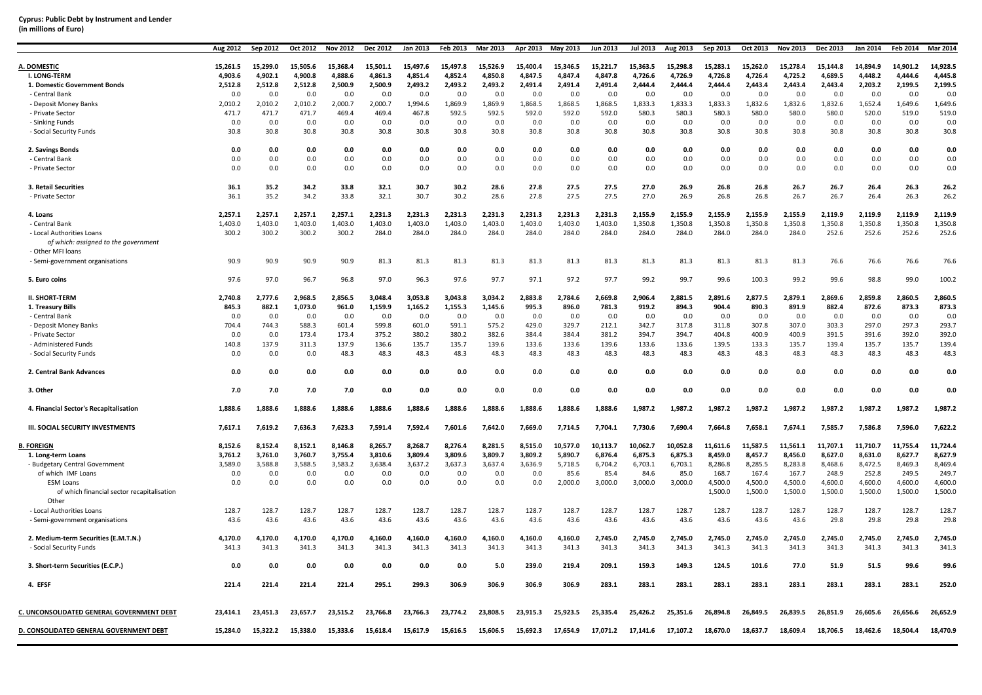### **Cyprus: Public Debt by Instrument and Lender (in millions of Euro)**

|                                                                                        | Aug 2012      | Sep 2012      | Oct 2012      | <b>Nov 2012</b> | Dec 2012      | Jan 2013      | Feb 2013      | Mar 2013      | Apr 2013      | May 2013      | Jun 2013      | Jul 2013      | Aug 2013      | Sep 2013           | Oct 2013           | <b>Nov 2013</b>    | Dec 2013           | Jan 2014           | Feb 2014           | <b>Mar 2014</b>    |
|----------------------------------------------------------------------------------------|---------------|---------------|---------------|-----------------|---------------|---------------|---------------|---------------|---------------|---------------|---------------|---------------|---------------|--------------------|--------------------|--------------------|--------------------|--------------------|--------------------|--------------------|
| A. DOMESTIC                                                                            | 15,261.5      | 15,299.0      | 15,505.6      | 15,368.4        | 15,501.1      | 15,497.6      | 15,497.8      | 15,526.9      | 15,400.4      | 15,346.5      | 15,221.7      | 15,363.5      | 15,298.8      | 15,283.1           | 15,262.0           | 15,278.4           | 15,144.8           | 14,894.9           | 14,901.2           | 14,928.5           |
| <b>I. LONG-TERM</b>                                                                    | 4,903.6       | 4,902.1       | 4,900.8       | 4,888.6         | 4,861.3       | 4,851.4       | 4,852.4       | 4,850.8       | 4,847.5       | 4,847.4       | 4,847.8       | 4,726.6       | 4,726.9       | 4,726.8            | 4,726.4            | 4,725.2            | 4,689.5            | 4,448.2            | 4,444.6            | 4,445.8            |
| 1. Domestic Government Bonds                                                           | 2,512.8       | 2,512.8       | 2,512.8       | 2,500.9         | 2,500.9       | 2,493.2       | 2.493.2       | 2,493.2       | 2.491.4       | 2,491.4       | 2.491.4       | 2.444.4       | 2.444.4       | 2.444.4            | 2.443.4            | 2.443.4            | 2.443.4            | 2.203.2            | 2,199.5            | 2.199.5            |
| - Central Bank                                                                         | 0.0           | 0.0           | 0.0           | 0.0             | 0.0           | 0.0           | 0.0           | 0.0           | 0.0           | 0.0           | 0.0           | 0.0           | 0.0           | 0.0                | 0.0                | 0.0                | 0.0                | 0.0                | 0.0                | 0.0                |
| - Deposit Money Banks                                                                  | 2,010.2       | 2,010.2       | 2,010.2       | 2,000.7         | 2,000.7       | 1,994.6       | 1,869.9       | 1,869.9       | 1,868.5       | 1,868.5       | 1,868.5       | 1,833.3       | 1,833.3       | 1,833.3            | 1,832.6            | 1,832.6            | 1,832.6            | 1,652.4            | 1,649.6            | 1,649.6            |
| - Private Sector                                                                       | 471.7         | 471.7         | 471.7         | 469.4           | 469.4         | 467.8         | 592.5         | 592.5         | 592.0         | 592.0         | 592.0         | 580.3         | 580.3         | 580.3              | 580.0              | 580.0              | 580.0              | 520.0              | 519.0              | 519.0              |
| - Sinking Funds                                                                        | 0.0           | 0.0           | 0.0           | 0.0             | 0.0           | 0.0           | 0.0           | 0.0           | 0.0           | 0.0           | 0.0           | 0.0           | 0.0           | 0.0                | 0.0                | 0.0                | 0.0                | 0.0                | 0.0                | 0.0                |
| - Social Security Funds                                                                | 30.8          | 30.8          | 30.8          | 30.8            | 30.8          | 30.8          | 30.8          | 30.8          | 30.8          | 30.8          | 30.8          | 30.8          | 30.8          | 30.8               | 30.8               | 30.8               | 30.8               | 30.8               | 30.8               | 30.8               |
| 2. Savings Bonds                                                                       | 0.0           | 0.0           | 0.0           | 0.0             | 0.0           | 0.0           | 0.0           | 0.0           | 0.0           | 0.0           | 0.0           | 0.0           | 0.0           | 0.0                | 0.0                | 0.0                | 0.0                | 0.0                | 0.0                | 0.0                |
| - Central Bank                                                                         | 0.0           | 0.0           | 0.0           | 0.0             | 0.0           | 0.0           | 0.0           | 0.0           | 0.0           | 0.0           | 0.0           | 0.0           | 0.0           | 0.0                | 0.0                | 0.0                | 0.0                | 0.0                | 0.0                | 0.0                |
| - Private Sector                                                                       | 0.0           | 0.0           | 0.0           | 0.0             | 0.0           | 0.0           | 0.0           | 0.0           | 0.0           | 0.0           | 0.0           | 0.0           | 0.0           | 0.0                | 0.0                | 0.0                | 0.0                | 0.0                | 0.0                | 0.0                |
| 3. Retail Securities                                                                   | 36.1          | 35.2          | 34.2          | 33.8            | 32.1          | 30.7          | 30.2          | 28.6          | 27.8          | 27.5          | 27.5          | 27.0          | 26.9          | 26.8               | 26.8               | 26.7               | 26.7               | 26.4               | 26.3               | 26.2               |
| - Private Sector                                                                       | 36.1          | 35.2          | 34.2          | 33.8            | 32.1          | 30.7          | 30.2          | 28.6          | 27.8          | 27.5          | 27.5          | 27.0          | 26.9          | 26.8               | 26.8               | 26.7               | 26.7               | 26.4               | 26.3               | 26.2               |
| 4. Loans                                                                               | 2,257.1       | 2,257.1       | 2,257.1       | 2,257.1         | 2,231.3       | 2,231.3       | 2,231.3       | 2,231.3       | 2,231.3       | 2,231.3       | 2,231.3       | 2,155.9       | 2,155.9       | 2,155.9            | 2,155.9            | 2,155.9            | 2,119.9            | 2,119.9            | 2,119.9            | 2,119.9            |
| - Central Bank                                                                         | 1,403.0       | 1,403.0       | 1,403.0       | 1,403.0         | 1,403.0       | 1,403.0       | 1,403.0       | 1,403.0       | 1,403.0       | 1,403.0       | 1,403.0       | 1,350.8       | 1,350.8       | 1,350.8            | 1,350.8            | 1,350.8            | 1,350.8            | 1,350.8            | 1,350.8            | 1,350.8            |
| - Local Authorities Loans<br>of which: assigned to the government<br>- Other MFI loans | 300.2         | 300.2         | 300.2         | 300.2           | 284.0         | 284.0         | 284.0         | 284.0         | 284.0         | 284.0         | 284.0         | 284.0         | 284.0         | 284.0              | 284.0              | 284.0              | 252.6              | 252.6              | 252.6              | 252.6              |
| - Semi-government organisations                                                        | 90.9          | 90.9          | 90.9          | 90.9            | 81.3          | 81.3          | 81.3          | 81.3          | 81.3          | 81.3          | 81.3          | 81.3          | 81.3          | 81.3               | 81.3               | 81.3               | 76.6               | 76.6               | 76.6               | 76.6               |
| 5. Euro coins                                                                          | 97.6          | 97.0          | 96.7          | 96.8            | 97.0          | 96.3          | 97.6          | 97.7          | 97.1          | 97.2          | 97.7          | 99.2          | 99.7          | 99.6               | 100.3              | 99.2               | 99.6               | 98.8               | 99.0               | 100.2              |
| <b>II. SHORT-TERM</b>                                                                  | 2,740.8       | 2,777.6       | 2,968.5       | 2,856.5         | 3.048.4       | 3,053.8       | 3,043.8       | 3,034.2       | 2.883.8       | 2,784.6       | 2.669.8       | 2,906.4       | 2,881.5       | 2,891.6            | 2,877.5            | 2,879.1            | 2.869.6            | 2,859.8            | 2,860.5            | 2,860.5            |
| 1. Treasury Bills                                                                      | 845.3         | 882.1         | 1,073.0       | 961.0           | 1,159.9       | 1,165.2       | 1,155.3       | 1,145.6       | 995.3         | 896.0         | 781.3         | 919.2         | 894.3         | 904.4              | 890.3              | 891.9              | 882.4              | 872.6              | 873.3              | 873.3              |
| - Central Bank                                                                         | 0.0           | 0.0           | 0.0           | 0.0             | 0.0           | 0.0           | 0.0           | 0.0           | 0.0           | 0.0           | 0.0           | 0.0           | 0.0           | 0.0                | 0.0                | 0.0                | 0.0                | 0.0                | 0.0                | 0.0                |
| - Deposit Money Banks                                                                  | 704.4         | 744.3         | 588.3         | 601.4           | 599.8         | 601.0         | 591.1         | 575.2         | 429.0         | 329.7         | 212.1         | 342.7         | 317.8         | 311.8              | 307.8              | 307.0              | 303.3              | 297.0              | 297.3              | 293.7              |
| - Private Sector                                                                       | 0.0           | 0.0           | 173.4         | 173.4           | 375.2         | 380.2         | 380.2         | 382.6         | 384.4         | 384.4         | 381.2         | 394.7         | 394.7         | 404.8              | 400.9              | 400.9              | 391.5              | 391.6              | 392.0              | 392.0              |
| - Administered Funds                                                                   | 140.8         | 137.9         | 311.3         | 137.9           | 136.6         | 135.7         | 135.7         | 139.6         | 133.6         | 133.6         | 139.6         | 133.6         | 133.6         | 139.5              | 133.3              | 135.7              | 139.4              | 135.7              | 135.7              | 139.4              |
| - Social Security Funds                                                                | 0.0           | 0.0           | 0.0           | 48.3            | 48.3          | 48.3          | 48.3          | 48.3          | 48.3          | 48.3          | 48.3          | 48.3          | 48.3          | 48.3               | 48.3               | 48.3               | 48.3               | 48.3               | 48.3               | 48.3               |
| 2. Central Bank Advances                                                               | 0.0           | 0.0           | 0.0           | 0.0             | 0.0           | 0.0           | 0.0           | 0.0           | 0.0           | 0.0           | 0.0           | 0.0           | 0.0           | 0.0                | 0.0                | 0.0                | 0.0                | 0.0                | 0.0                | 0.0                |
| 3. Other                                                                               | 7.0           | 7.0           | 7.0           | 7.0             | 0.0           | 0.0           | 0.0           | 0.0           | 0.0           | 0.0           | 0.0           | 0.0           | 0.0           | 0.0                | 0.0                | 0.0                | 0.0                | 0.0                | 0.0                | 0.0                |
| 4. Financial Sector's Recapitalisation                                                 | 1.888.6       | 1.888.6       | 1.888.6       | 1.888.6         | 1.888.6       | 1.888.6       | 1.888.6       | 1.888.6       | 1.888.6       | 1.888.6       | 1.888.6       | 1.987.2       | 1.987.2       | 1.987.2            | 1.987.2            | 1.987.2            | 1.987.2            | 1.987.2            | 1,987.2            | 1,987.2            |
| <b>III. SOCIAL SECURITY INVESTMENTS</b>                                                | 7,617.1       | 7,619.2       | 7,636.3       | 7,623.3         | 7,591.4       | 7,592.4       | 7,601.6       | 7,642.0       | 7,669.0       | 7,714.5       | 7,704.1       | 7,730.6       | 7,690.4       | 7,664.8            | 7,658.1            | 7,674.1            | 7,585.7            | 7,586.8            | 7,596.0            | 7,622.2            |
| <b>B. FOREIGN</b>                                                                      | 8,152.6       | 8,152.4       | 8,152.1       | 8,146.8         | 8,265.7       | 8,268.7       | 8,276.4       | 8,281.5       | 8,515.0       | 10,577.0      | 10,113.7      | 10,062.7      | 10,052.8      | 11,611.6           | 11,587.5           | 11,561.1           | 11,707.1           | 11,710.7           | 11,755.4           | 11,724.4           |
| 1. Long-term Loans                                                                     | 3,761.2       | 3,761.0       | 3,760.7       | 3,755.4         | 3,810.6       | 3,809.4       | 3,809.6       | 3,809.7       | 3,809.2       | 5,890.7       | 6,876.4       | 6,875.3       | 6,875.3       | 8,459.0            | 8,457.7            | 8,456.0            | 8,627.0            | 8,631.0            | 8,627.7            | 8,627.9            |
| - Budgetary Central Government                                                         | 3,589.0       | 3,588.8       | 3,588.5       | 3,583.2         | 3,638.4       | 3,637.2       | 3,637.3       | 3,637.4       | 3,636.9       | 5,718.5       | 6,704.2       | 6,703.1       | 6,703.1       | 8,286.8            | 8,285.5            | 8,283.8            | 8,468.6            | 8,472.5            | 8,469.3            | 8,469.4            |
| of which IMF Loans                                                                     | 0.0           | 0.0           | 0.0           | 0.0             | 0.0           | 0.0           | 0.0           | 0.0           | 0.0           | 85.6          | 85.4          | 84.6          | 85.0          | 168.7              | 167.4              | 167.7              | 248.9              | 252.8              | 249.5              | 249.7              |
| <b>ESM Loans</b><br>of which financial sector recapitalisation                         | 0.0           | 0.0           | 0.0           | 0.0             | 0.0           | 0.0           | 0.0           | 0.0           | 0.0           | 2,000.0       | 3,000.0       | 3,000.0       | 3,000.0       | 4,500.0<br>1,500.0 | 4,500.0<br>1,500.0 | 4,500.0<br>1,500.0 | 4,600.0<br>1,500.0 | 4,600.0<br>1,500.0 | 4,600.0<br>1,500.0 | 4,600.0<br>1,500.0 |
| Other                                                                                  |               |               |               |                 |               |               |               |               |               |               |               |               |               |                    |                    |                    |                    |                    |                    |                    |
| - Local Authorities Loans<br>- Semi-government organisations                           | 128.7<br>43.6 | 128.7<br>43.6 | 128.7<br>43.6 | 128.7<br>43.6   | 128.7<br>43.6 | 128.7<br>43.6 | 128.7<br>43.6 | 128.7<br>43.6 | 128.7<br>43.6 | 128.7<br>43.6 | 128.7<br>43.6 | 128.7<br>43.6 | 128.7<br>43.6 | 128.7<br>43.6      | 128.7<br>43.6      | 128.7<br>43.6      | 128.7<br>29.8      | 128.7<br>29.8      | 128.7<br>29.8      | 128.7<br>29.8      |
| 2. Medium-term Securities (E.M.T.N.)                                                   | 4,170.0       | 4,170.0       | 4,170.0       | 4,170.0         | 4,160.0       | 4,160.0       | 4,160.0       | 4,160.0       | 4,160.0       | 4,160.0       | 2,745.0       | 2,745.0       | 2,745.0       | 2,745.0            | 2,745.0            | 2,745.0            | 2.745.0            | 2,745.0            | 2,745.0            | 2,745.0            |
| - Social Security Funds                                                                | 341.3         | 341.3         | 341.3         | 341.3           | 341.3         | 341.3         | 341.3         | 341.3         | 341.3         | 341.3         | 341.3         | 341.3         | 341.3         | 341.3              | 341.3              | 341.3              | 341.3              | 341.3              | 341.3              | 341.3              |
| 3. Short-term Securities (E.C.P.)                                                      | 0.0           | 0.0           | 0.0           | 0.0             | 0.0           | 0.0           | 0.0           | 5.0           | 239.0         | 219.4         | 209.1         | 159.3         | 149.3         | 124.5              | 101.6              | 77.0               | 51.9               | 51.5               | 99.6               | 99.6               |
| 4. EFSF                                                                                | 221.4         | 221.4         | 221.4         | 221.4           | 295.1         | 299.3         | 306.9         | 306.9         | 306.9         | 306.9         | 283.1         | 283.1         | 283.1         | 283.1              | 283.1              | 283.1              | 283.1              | 283.1              | 283.1              | 252.0              |
| C. UNCONSOLIDATED GENERAL GOVERNMENT DEBT                                              | 23,414.1      | 23,451.3      | 23,657.7      | 23,515.2        | 23,766.8      | 23,766.3      | 23,774.2      | 23.808.5      | 23,915.3      | 25,923.5      | 25,335.4      | 25,426.2      | 25,351.6      | 26,894.8           | 26,849.5           | 26,839.5           | 26,851.9           | 26,605.6           | 26,656.6           | 26,652.9           |
| D. CONSOLIDATED GENERAL GOVERNMENT DEBT                                                | 15.284.0      | 15,322.2      | 15,338.0      | 15,333.6        | 15,618.4      | 15,617.9      | 15,616.5      | 15,606.5      | 15,692.3      | 17.654.9      | 17.071.2      | 17.141.6      | 17.107.2      | 18,670.0           | 18,637.7           | 18,609.4           | 18,706.5           | 18,462.6           | 18,504.4           | 18,470.9           |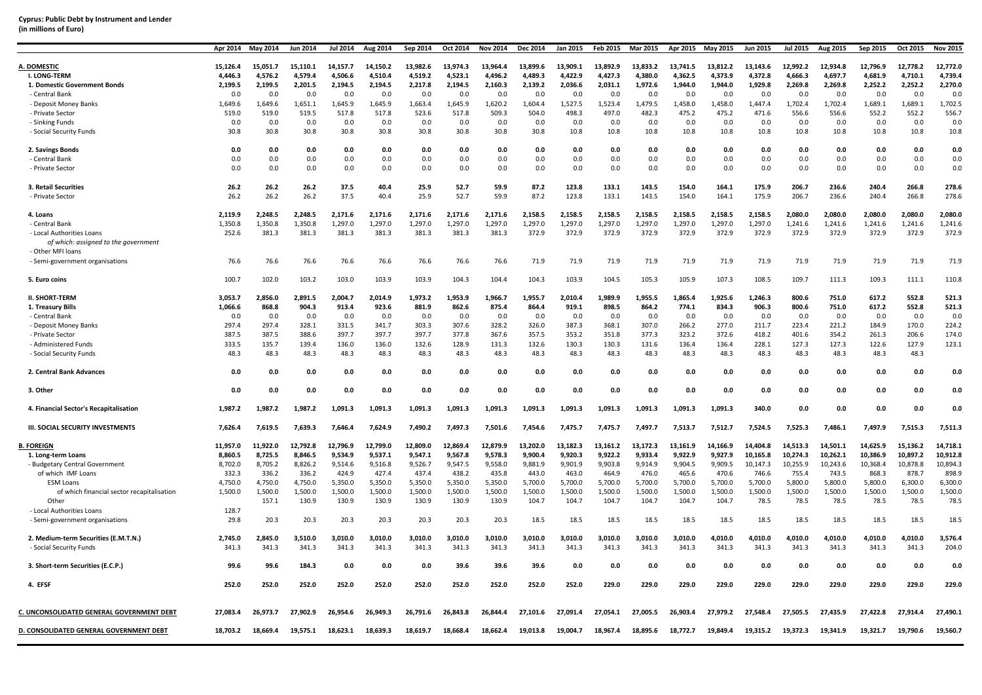| (in millions of Euro) |  |
|-----------------------|--|
|-----------------------|--|

|                                                           | Apr 2014 | May 2014 | Jun 2014 | <b>Jul 2014</b> | Aug 2014 | Sep 2014 | Oct 2014 | <b>Nov 2014</b> | Dec 2014 | Jan 2015 | <b>Feb 2015</b> | Mar 2015 | Apr 2015 | May 2015 | <b>Jun 2015</b> | <b>Jul 2015</b> | Aug 2015 | Sep 2015 | Oct 2015 | <b>Nov 2015</b> |
|-----------------------------------------------------------|----------|----------|----------|-----------------|----------|----------|----------|-----------------|----------|----------|-----------------|----------|----------|----------|-----------------|-----------------|----------|----------|----------|-----------------|
| A. DOMESTIC                                               | 15,126.4 | 15,051.7 | 15,110.1 | 14,157.7        | 14,150.2 | 13,982.6 | 13,974.3 | 13,964.4        | 13,899.6 | 13,909.1 | 13,892.9        | 13,833.2 | 13,741.5 | 13,812.2 | 13,143.6        | 12,992.2        | 12,934.8 | 12,796.9 | 12,778.2 | 12,772.0        |
| <b>I. LONG-TERM</b>                                       | 4.446.3  | 4,576.2  | 4,579.4  | 4,506.6         | 4,510.4  | 4.519.2  | 4.523.1  | 4.496.2         | 4.489.3  | 4,422.9  | 4,427.3         | 4.380.0  | 4.362.5  | 4.373.9  | 4,372.8         | 4,666.3         | 4,697.7  | 4,681.9  | 4.710.1  | 4.739.4         |
| 1. Domestic Government Bonds                              | 2,199.5  | 2,199.5  | 2,201.5  | 2,194.5         | 2,194.5  | 2,217.8  | 2,194.5  | 2,160.3         | 2,139.2  | 2,036.6  | 2,031.1         | 1,972.6  | 1,944.0  | 1,944.0  | 1,929.8         | 2,269.8         | 2,269.8  | 2,252.2  | 2,252.2  | 2,270.0         |
| - Central Bank                                            | 0.0      | 0.0      | 0.0      | 0.0             | 0.0      | 0.0      | 0.0      | 0.0             | 0.0      | 0.0      | 0.0             | 0.0      | 0.0      | 0.0      | 0.0             | 0.0             | 0.0      | 0.0      | 0.0      | 0.0             |
| - Deposit Money Banks                                     | 1,649.6  | 1,649.6  | 1,651.1  | 1,645.9         | 1,645.9  | 1,663.4  | 1,645.9  | 1,620.2         | 1,604.4  | 1,527.5  | 1,523.4         | 1,479.5  | 1,458.0  | 1,458.0  | 1,447.4         | 1,702.4         | 1,702.4  | 1,689.1  | 1,689.1  | 1,702.5         |
| - Private Sector                                          | 519.0    | 519.0    | 519.5    | 517.8           | 517.8    | 523.6    | 517.8    | 509.3           | 504.0    | 498.3    | 497.0           | 482.3    | 475.2    | 475.2    | 471.6           | 556.6           | 556.6    | 552.2    | 552.2    | 556.7           |
| - Sinking Funds                                           | 0.0      | 0.0      | 0.0      | 0.0             | 0.0      | 0.0      | 0.0      | 0.0             | 0.0      | 0.0      | 0.0             | 0.0      | 0.0      | 0.0      | 0.0             | 0.0             | 0.0      | 0.0      | 0.0      | 0.0             |
| - Social Security Funds                                   | 30.8     | 30.8     | 30.8     | 30.8            | 30.8     | 30.8     | 30.8     | 30.8            | 30.8     | 10.8     | 10.8            | 10.8     | 10.8     | 10.8     | 10.8            | 10.8            | 10.8     | 10.8     | 10.8     | 10.8            |
|                                                           |          |          |          |                 |          |          |          |                 |          |          |                 |          |          |          |                 |                 |          |          |          |                 |
| 2. Savings Bonds                                          | 0.0      | 0.0      | 0.0      | 0.0             | 0.0      | 0.0      | 0.0      | 0.0             | 0.0      | 0.0      | 0.0             | 0.0      | 0.0      | 0.0      | 0.0             | 0.0             | 0.0      | 0.0      | 0.0      | 0.0             |
| - Central Bank                                            | 0.0      | 0.0      | 0.0      | 0.0             | 0.0      | 0.0      | 0.0      | 0.0             | 0.0      | 0.0      | 0.0             | 0.0      | 0.0      | 0.0      | 0.0             | 0.0             | 0.0      | 0.0      | 0.0      | 0.0             |
| - Private Sector                                          | 0.0      | 0.0      | 0.0      | 0.0             | 0.0      | 0.0      | 0.0      | 0.0             | 0.0      | 0.0      | 0.0             | 0.0      | 0.0      | 0.0      | 0.0             | 0.0             | 0.0      | 0.0      | 0.0      | 0.0             |
| 3. Retail Securities                                      | 26.2     | 26.2     | 26.2     | 37.5            | 40.4     | 25.9     | 52.7     | 59.9            | 87.2     | 123.8    | 133.1           | 143.5    | 154.0    | 164.1    | 175.9           | 206.7           | 236.6    | 240.4    | 266.8    | 278.6           |
| - Private Sector                                          | 26.2     | 26.2     | 26.2     | 37.5            | 40.4     | 25.9     | 52.7     | 59.9            | 87.2     | 123.8    | 133.1           | 143.5    | 154.0    | 164.1    | 175.9           | 206.7           | 236.6    | 240.4    | 266.8    | 278.6           |
| 4. Loans                                                  | 2,119.9  | 2.248.5  | 2.248.5  | 2,171.6         | 2,171.6  | 2,171.6  | 2,171.6  | 2,171.6         | 2.158.5  | 2,158.5  | 2,158.5         | 2,158.5  | 2,158.5  | 2,158.5  | 2,158.5         | 2,080.0         | 2.080.0  | 2,080.0  | 2.080.0  | 2,080.0         |
| - Central Bank                                            | 1,350.8  | 1,350.8  | 1,350.8  | 1,297.0         | 1,297.0  | 1,297.0  | 1,297.0  | 1,297.0         | 1,297.0  | 1,297.0  | 1,297.0         | 1,297.0  | 1,297.0  | 1,297.0  | 1,297.0         | 1,241.6         | 1,241.6  | 1,241.6  | 1,241.6  | 1,241.6         |
| - Local Authorities Loans                                 | 252.6    | 381.3    | 381.3    | 381.3           | 381.3    | 381.3    | 381.3    | 381.3           | 372.9    | 372.9    | 372.9           | 372.9    | 372.9    | 372.9    | 372.9           | 372.9           | 372.9    | 372.9    | 372.9    | 372.9           |
| of which: assigned to the government<br>- Other MFI loans |          |          |          |                 |          |          |          |                 |          |          |                 |          |          |          |                 |                 |          |          |          |                 |
| - Semi-government organisations                           | 76.6     | 76.6     | 76.6     | 76.6            | 76.6     | 76.6     | 76.6     | 76.6            | 71.9     | 71.9     | 71.9            | 71.9     | 71.9     | 71.9     | 71.9            | 71.9            | 71.9     | 71.9     | 71.9     | 71.9            |
| 5. Euro coins                                             | 100.7    | 102.0    | 103.2    | 103.0           | 103.9    | 103.9    | 104.3    | 104.4           | 104.3    | 103.9    | 104.5           | 105.3    | 105.9    | 107.3    | 108.5           | 109.7           | 111.3    | 109.3    | 111.1    | 110.8           |
| <b>II. SHORT-TERM</b>                                     | 3,053.7  | 2,856.0  | 2,891.5  | 2,004.7         | 2,014.9  | 1,973.2  | 1,953.9  | 1,966.7         | 1,955.7  | 2,010.4  | 1,989.9         | 1,955.5  | 1,865.4  | 1,925.6  | 1,246.3         | 800.6           | 751.0    | 617.2    | 552.8    | 521.3           |
| 1. Treasury Bills                                         | 1,066.6  | 868.8    | 904.3    | 913.4           | 923.6    | 881.9    | 862.6    | 875.4           | 864.4    | 919.1    | 898.5           | 864.2    | 774.1    | 834.3    | 906.3           | 800.6           | 751.0    | 617.2    | 552.8    | 521.3           |
| - Central Bank                                            | 0.0      | 0.0      | 0.0      | 0.0             | 0.0      | 0.0      | 0.0      | 0.0             | 0.0      | 0.0      | 0.0             | 0.0      | 0.0      | 0.0      | 0.0             | 0.0             | 0.0      | 0.0      | 0.0      | 0.0             |
| - Deposit Money Banks                                     | 297.4    | 297.4    | 328.1    | 331.5           | 341.7    | 303.3    | 307.6    | 328.2           | 326.0    | 387.3    | 368.1           | 307.0    | 266.2    | 277.0    | 211.7           | 223.4           | 221.2    | 184.9    | 170.0    | 224.2           |
| - Private Sector                                          | 387.5    | 387.5    | 388.6    | 397.7           | 397.7    | 397.7    | 377.8    | 367.6           | 357.5    | 353.2    | 351.8           | 377.3    | 323.2    | 372.6    | 418.2           | 401.6           | 354.2    | 261.3    | 206.6    | 174.0           |
| - Administered Funds                                      | 333.5    | 135.7    | 139.4    | 136.0           | 136.0    | 132.6    | 128.9    | 131.3           | 132.6    | 130.3    | 130.3           | 131.6    | 136.4    | 136.4    | 228.1           | 127.3           | 127.3    | 122.6    | 127.9    | 123.1           |
| - Social Security Funds                                   | 48.3     | 48.3     | 48.3     | 48.3            | 48.3     | 48.3     | 48.3     | 48.3            | 48.3     | 48.3     | 48.3            | 48.3     | 48.3     | 48.3     | 48.3            | 48.3            | 48.3     | 48.3     | 48.3     |                 |
| 2. Central Bank Advances                                  | 0.0      | 0.0      | 0.0      | 0.0             | 0.0      | 0.0      | 0.0      | 0.0             | 0.0      | 0.0      | 0.0             | 0.0      | 0.0      | 0.0      | 0.0             | 0.0             | 0.0      | 0.0      | 0.0      | 0.0             |
| 3. Other                                                  | 0.0      | 0.0      | 0.0      | 0.0             | 0.0      | 0.0      | 0.0      | 0.0             | 0.0      | 0.0      | 0.0             | 0.0      | 0.0      | 0.0      | 0.0             | 0.0             | 0.0      | 0.0      | 0.0      | 0.0             |
| 4. Financial Sector's Recapitalisation                    | 1,987.2  | 1,987.2  | 1,987.2  | 1,091.3         | 1,091.3  | 1,091.3  | 1,091.3  | 1,091.3         | 1,091.3  | 1,091.3  | 1,091.3         | 1,091.3  | 1,091.3  | 1,091.3  | 340.0           | 0.0             | 0.0      | 0.0      | 0.0      | 0.0             |
| <b>III. SOCIAL SECURITY INVESTMENTS</b>                   | 7,626.4  | 7,619.5  | 7,639.3  | 7,646.4         | 7,624.9  | 7,490.2  | 7,497.3  | 7,501.6         | 7,454.6  | 7,475.7  | 7,475.7         | 7,497.7  | 7,513.7  | 7,512.7  | 7,524.5         | 7,525.3         | 7,486.1  | 7,497.9  | 7,515.3  | 7,511.3         |
| <b>B. FOREIGN</b>                                         | 11,957.0 | 11,922.0 | 12,792.8 | 12,796.9        | 12,799.0 | 12,809.0 | 12,869.4 | 12,879.9        | 13,202.0 | 13,182.3 | 13,161.2        | 13,172.3 | 13,161.9 | 14,166.9 | 14,404.8        | 14,513.3        | 14,501.1 | 14,625.9 | 15,136.2 | 14,718.1        |
| 1. Long-term Loans                                        | 8,860.5  | 8,725.5  | 8,846.5  | 9,534.9         | 9,537.1  | 9,547.1  | 9,567.8  | 9,578.3         | 9,900.4  | 9,920.3  | 9,922.2         | 9,933.4  | 9,922.9  | 9,927.9  | 10,165.8        | 10,274.3        | 10,262.1 | 10,386.9 | 10,897.2 | 10,912.8        |
| - Budgetary Central Government                            | 8,702.0  | 8.705.2  | 8.826.2  | 9.514.6         | 9,516.8  | 9.526.7  | 9.547.5  | 9,558.0         | 9.881.9  | 9.901.9  | 9.903.8         | 9.914.9  | 9,904.5  | 9,909.5  | 10,147.3        | 10,255.9        | 10.243.6 | 10.368.4 | 10.878.8 | 10.894.3        |
| of which IMF Loans                                        | 332.3    | 336.2    | 336.2    | 424.9           | 427.4    | 437.4    | 438.2    | 435.8           | 443.0    | 463.0    | 464.9           | 476.0    | 465.6    | 470.6    | 746.6           | 755.4           | 743.5    | 868.3    | 878.7    | 898.9           |
| <b>ESM Loans</b>                                          | 4,750.0  | 4,750.0  | 4,750.0  | 5,350.0         | 5,350.0  | 5,350.0  | 5,350.0  | 5,350.0         | 5,700.0  | 5,700.0  | 5,700.0         | 5,700.0  | 5,700.0  | 5,700.0  | 5,700.0         | 5,800.0         | 5,800.0  | 5,800.0  | 6,300.0  | 6,300.0         |
| of which financial sector recapitalisation                | 1,500.0  | 1,500.0  | 1,500.0  | 1,500.0         | 1,500.0  | 1,500.0  | 1,500.0  | 1,500.0         | 1,500.0  | 1,500.0  | 1,500.0         | 1,500.0  | 1,500.0  | 1,500.0  | 1,500.0         | 1,500.0         | 1,500.0  | 1,500.0  | 1,500.0  | 1,500.0         |
| Other                                                     |          | 157.1    | 130.9    | 130.9           | 130.9    | 130.9    | 130.9    | 130.9           | 104.7    | 104.7    | 104.7           | 104.7    | 104.7    | 104.7    | 78.5            | 78.5            | 78.5     | 78.5     | 78.5     | 78.5            |
| - Local Authorities Loans                                 | 128.7    |          |          |                 |          |          |          |                 |          |          |                 |          |          |          |                 |                 |          |          |          |                 |
| - Semi-government organisations                           | 29.8     | 20.3     | 20.3     | 20.3            | 20.3     | 20.3     | 20.3     | 20.3            | 18.5     | 18.5     | 18.5            | 18.5     | 18.5     | 18.5     | 18.5            | 18.5            | 18.5     | 18.5     | 18.5     | 18.5            |
| 2. Medium-term Securities (E.M.T.N.)                      | 2.745.0  | 2.845.0  | 3.510.0  | 3.010.0         | 3.010.0  | 3.010.0  | 3.010.0  | 3.010.0         | 3.010.0  | 3.010.0  | 3.010.0         | 3.010.0  | 3.010.0  | 4.010.0  | 4.010.0         | 4.010.0         | 4.010.0  | 4.010.0  | 4.010.0  | 3.576.4         |
| - Social Security Funds                                   | 341.3    | 341.3    | 341.3    | 341.3           | 341.3    | 341.3    | 341.3    | 341.3           | 341.3    | 341.3    | 341.3           | 341.3    | 341.3    | 341.3    | 341.3           | 341.3           | 341.3    | 341.3    | 341.3    | 204.0           |
|                                                           |          |          |          |                 |          |          |          |                 |          |          |                 |          |          |          |                 |                 |          |          |          |                 |
| 3. Short-term Securities (E.C.P.)                         | 99.6     | 99.6     | 184.3    | 0.0             | 0.0      | 0.0      | 39.6     | 39.6            | 39.6     | 0.0      | 0.0             | 0.0      | 0.0      | 0.0      | 0.0             | 0.0             | 0.0      | 0.0      | 0.0      | 0.0             |
| 4. EFSF                                                   | 252.0    | 252.0    | 252.0    | 252.0           | 252.0    | 252.0    | 252.0    | 252.0           | 252.0    | 252.0    | 229.0           | 229.0    | 229.0    | 229.0    | 229.0           | 229.0           | 229.0    | 229.0    | 229.0    | 229.0           |
| C. UNCONSOLIDATED GENERAL GOVERNMENT DEBT                 | 27,083.4 | 26,973.7 | 27.902.9 | 26.954.6        | 26,949.3 | 26,791.6 | 26,843.8 | 26.844.4        | 27.101.6 | 27.091.4 | 27.054.1        | 27.005.5 | 26,903.4 | 27.979.2 | 27.548.4        | 27.505.5        | 27.435.9 | 27.422.8 | 27,914.4 | 27,490.1        |
| D. CONSOLIDATED GENERAL GOVERNMENT DEBT                   | 18,703.2 | 18,669.4 | 19,575.1 | 18,623.1        | 18,639.3 | 18,619.7 | 18,668.4 | 18,662.4        | 19,013.8 | 19,004.7 | 18,967.4        | 18,895.6 | 18,772.7 | 19,849.4 | 19,315.2        | 19,372.3        | 19,341.9 | 19,321.7 | 19,790.6 | 19,560.7        |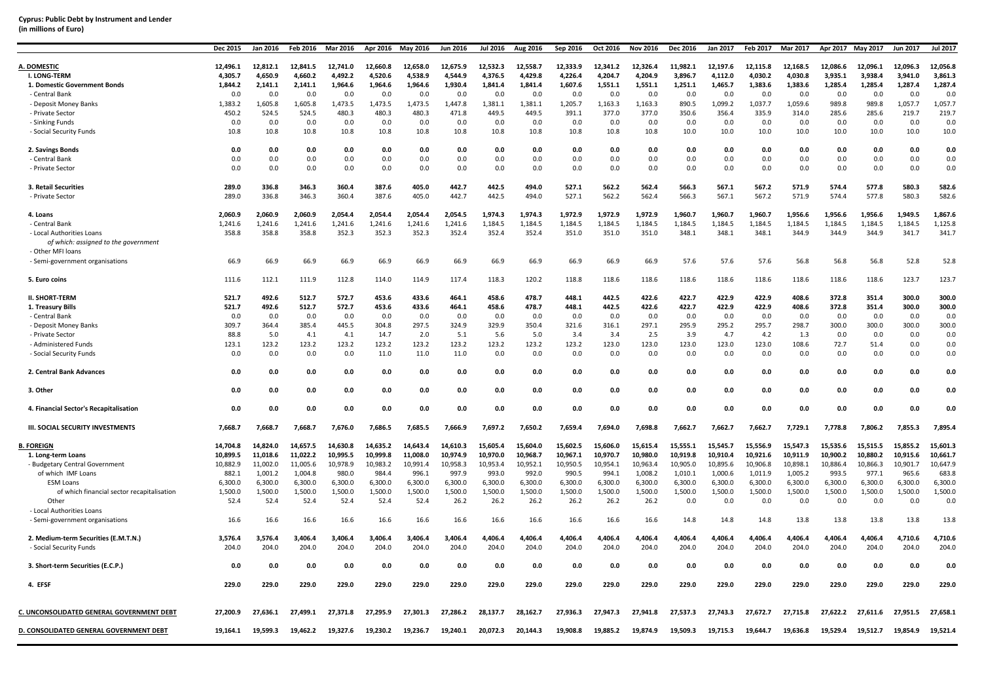| (in millions of Euro) |  |
|-----------------------|--|
|-----------------------|--|

|                                                           | Dec 2015 | Jan 2016 | Feb 2016 | Mar 2016 | Apr 2016 | <b>May 2016</b> | Jun 2016 | <b>Jul 2016</b> | Aug 2016 | Sep 2016 | Oct 2016 | Nov 2016 | Dec 2016 | Jan 2017 | Feb 2017 | <b>Mar 2017</b> | Apr 2017 | May 2017 | <b>Jun 2017</b> | <b>Jul 2017</b> |
|-----------------------------------------------------------|----------|----------|----------|----------|----------|-----------------|----------|-----------------|----------|----------|----------|----------|----------|----------|----------|-----------------|----------|----------|-----------------|-----------------|
| A. DOMESTIC                                               | 12,496.1 | 12,812.1 | 12,841.5 | 12,741.0 | 12,660.8 | 12,658.0        | 12,675.9 | 12,532.3        | 12,558.7 | 12,333.9 | 12,341.2 | 12,326.4 | 11,982.1 | 12,197.6 | 12,115.8 | 12,168.5        | 12,086.6 | 12,096.1 | 12,096.3        | 12,056.8        |
| I. LONG-TERM                                              | 4,305.7  | 4,650.9  | 4.660.2  | 4,492.2  | 4,520.6  | 4.538.9         | 4.544.9  | 4,376.5         | 4,429.8  | 4.226.4  | 4.204.7  | 4.204.9  | 3.896.7  | 4,112.0  | 4.030.2  | 4.030.8         | 3.935.1  | 3.938.4  | 3.941.0         | 3,861.3         |
| 1. Domestic Government Bonds                              | 1,844.2  | 2,141.1  | 2,141.1  | 1,964.6  | 1,964.6  | 1,964.6         | 1,930.4  | 1,841.4         | 1,841.4  | 1,607.6  | 1,551.1  | 1,551.1  | 1,251.1  | 1,465.7  | 1,383.6  | 1,383.6         | 1,285.4  | 1,285.4  | 1,287.4         | 1,287.4         |
| - Central Bank                                            | 0.0      | 0.0      | 0.0      | 0.0      | 0.0      | 0.0             | 0.0      | 0.0             | 0.0      | 0.0      | 0.0      | 0.0      | 0.0      | 0.0      | 0.0      | 0.0             | 0.0      | 0.0      | 0.0             | 0.0             |
| - Deposit Money Banks                                     | 1,383.2  | 1.605.8  | 1.605.8  | 1,473.5  | 1,473.5  | 1,473.5         | 1.447.8  | 1,381.1         | 1,381.1  | 1,205.7  | 1,163.3  | 1,163.3  | 890.5    | 1,099.2  | 1,037.7  | 1,059.6         | 989.8    | 989.8    | 1,057.7         | 1,057.7         |
| - Private Sector                                          | 450.2    | 524.5    | 524.5    | 480.3    | 480.3    | 480.3           | 471.8    | 449.5           | 449.5    | 391.1    | 377.0    | 377.0    | 350.6    | 356.4    | 335.9    | 314.0           | 285.6    | 285.6    | 219.7           | 219.7           |
| - Sinking Funds                                           | 0.0      | 0.0      | 0.0      | 0.0      | 0.0      | 0.0             | 0.0      | 0.0             | 0.0      | 0.0      | 0.0      | 0.0      | 0.0      | 0.0      | 0.0      | 0.0             | 0.0      | 0.0      | 0.0             | 0.0             |
| - Social Security Funds                                   | 10.8     | 10.8     | 10.8     | 10.8     | 10.8     | 10.8            | 10.8     | 10.8            | 10.8     | 10.8     | 10.8     | 10.8     | 10.0     | 10.0     | 10.0     | 10.0            | 10.0     | 10.0     | 10.0            | 10.0            |
|                                                           |          |          |          |          |          |                 |          |                 |          |          |          |          |          |          |          |                 |          |          |                 |                 |
| 2. Savings Bonds                                          | 0.0      | 0.0      | 0.0      | 0.0      | 0.0      | 0.0             | 0.0      | 0.0             | 0.0      | 0.0      | 0.0      | 0.0      | 0.0      | 0.0      | 0.0      | 0.0             | 0.0      | 0.0      | 0.0             | 0.0             |
| - Central Bank                                            | 0.0      | 0.0      | 0.0      | 0.0      | 0.0      | 0.0             | 0.0      | 0.0             | 0.0      | 0.0      | 0.0      | 0.0      | 0.0      | 0.0      | 0.0      | 0.0             | 0.0      | 0.0      | 0.0             | 0.0             |
| - Private Sector                                          | 0.0      | 0.0      | 0.0      | 0.0      | 0.0      | 0.0             | 0.0      | 0.0             | 0.0      | 0.0      | 0.0      | 0.0      | 0.0      | 0.0      | 0.0      | 0.0             | 0.0      | 0.0      | 0.0             | 0.0             |
|                                                           |          |          |          |          |          |                 |          |                 |          |          |          |          |          |          |          |                 |          |          |                 |                 |
| 3. Retail Securities                                      | 289.0    | 336.8    | 346.3    | 360.4    | 387.6    | 405.0           | 442.7    | 442.5           | 494.0    | 527.1    | 562.2    | 562.4    | 566.3    | 567.1    | 567.2    | 571.9           | 574.4    | 577.8    | 580.3           | 582.6           |
| - Private Sector                                          | 289.0    | 336.8    | 346.3    | 360.4    | 387.6    | 405.0           | 442.7    | 442.5           | 494.0    | 527.1    | 562.2    | 562.4    | 566.3    | 567.1    | 567.2    | 571.9           | 574.4    | 577.8    | 580.3           | 582.6           |
| 4. Loans                                                  | 2,060.9  | 2,060.9  | 2,060.9  | 2,054.4  | 2,054.4  | 2,054.4         | 2,054.5  | 1,974.3         | 1,974.3  | 1,972.9  | 1,972.9  | 1,972.9  | 1,960.7  | 1,960.7  | 1,960.7  | 1,956.6         | 1,956.6  | 1,956.6  | 1,949.5         | 1,867.6         |
| - Central Bank                                            | 1,241.6  | 1,241.6  | 1,241.6  | 1,241.6  | 1,241.6  | 1,241.6         | 1,241.6  | 1,184.5         | 1,184.5  | 1,184.5  | 1,184.5  | 1,184.5  | 1,184.5  | 1,184.5  | 1,184.5  | 1,184.5         | 1,184.5  | 1,184.5  | 1,184.5         | 1,125.8         |
| - Local Authorities Loans                                 | 358.8    | 358.8    | 358.8    | 352.3    | 352.3    | 352.3           | 352.4    | 352.4           | 352.4    | 351.0    | 351.0    | 351.0    | 348.1    | 348.1    | 348.1    | 344.9           | 344.9    | 344.9    | 341.7           | 341.7           |
|                                                           |          |          |          |          |          |                 |          |                 |          |          |          |          |          |          |          |                 |          |          |                 |                 |
| of which: assigned to the government<br>- Other MFI loans |          |          |          |          |          |                 |          |                 |          |          |          |          |          |          |          |                 |          |          |                 |                 |
| - Semi-government organisations                           | 66.9     | 66.9     | 66.9     | 66.9     | 66.9     | 66.9            | 66.9     | 66.9            | 66.9     | 66.9     | 66.9     | 66.9     | 57.6     | 57.6     | 57.6     | 56.8            | 56.8     | 56.8     | 52.8            | 52.8            |
|                                                           |          |          |          |          |          |                 |          |                 |          |          |          |          |          |          |          |                 |          |          |                 |                 |
| 5. Euro coins                                             | 111.6    | 112.1    | 111.9    | 112.8    | 114.0    | 114.9           | 117.4    | 118.3           | 120.2    | 118.8    | 118.6    | 118.6    | 118.6    | 118.6    | 118.6    | 118.6           | 118.6    | 118.6    | 123.7           | 123.7           |
|                                                           |          |          |          |          |          |                 |          |                 |          |          |          |          |          |          |          |                 |          |          |                 |                 |
| <b>II. SHORT-TERM</b>                                     | 521.7    | 492.6    | 512.7    | 572.7    | 453.6    | 433.6           | 464.1    | 458.6           | 478.7    | 448.1    | 442.5    | 422.6    | 422.7    | 422.9    | 422.9    | 408.6           | 372.8    | 351.4    | 300.0           | 300.0           |
| 1. Treasury Bills                                         | 521.7    | 492.6    | 512.7    | 572.7    | 453.6    | 433.6           | 464.1    | 458.6           | 478.7    | 448.1    | 442.5    | 422.6    | 422.7    | 422.9    | 422.9    | 408.6           | 372.8    | 351.4    | 300.0           | 300.0           |
| - Central Bank                                            | 0.0      | 0.0      | 0.0      | 0.0      | 0.0      | 0.0             | 0.0      | 0.0             | 0.0      | 0.0      | 0.0      | 0.0      | 0.0      | 0.0      | 0.0      | 0.0             | 0.0      | 0.0      | 0.0             | 0.0             |
| - Deposit Money Banks                                     | 309.7    | 364.4    | 385.4    | 445.5    | 304.8    | 297.5           | 324.9    | 329.9           | 350.4    | 321.6    | 316.1    | 297.1    | 295.9    | 295.2    | 295.7    | 298.7           | 300.0    | 300.0    | 300.0           | 300.0           |
| - Private Sector                                          | 88.8     | 5.0      | 4.1      | 4.1      | 14.7     | 2.0             | 5.1      | 5.6             | 5.0      | 3.4      | 3.4      | 2.5      | 3.9      | 4.7      | 4.2      | 1.3             | 0.0      | 0.0      | 0.0             | 0.0             |
| - Administered Funds                                      | 123.1    | 123.2    | 123.2    | 123.2    | 123.2    | 123.2           | 123.2    | 123.2           | 123.2    | 123.2    | 123.0    | 123.0    | 123.0    | 123.0    | 123.0    | 108.6           | 72.7     | 51.4     | 0.0             | 0.0             |
| - Social Security Funds                                   | 0.0      | 0.0      | 0.0      | 0.0      | 11.0     | 11.0            | 11.0     | 0.0             | 0.0      | 0.0      | 0.0      | 0.0      | 0.0      | 0.0      | 0.0      | 0.0             | 0.0      | 0.0      | 0.0             | 0.0             |
| 2. Central Bank Advances                                  | 0.0      | 0.0      | 0.0      | 0.0      | 0.0      | 0.0             | 0.0      | 0.0             | 0.0      | 0.0      | 0.0      | 0.0      | 0.0      | 0.0      | 0.0      | 0.0             | 0.0      | 0.0      | 0.0             | 0.0             |
| 3. Other                                                  | 0.0      | 0.0      | 0.0      | 0.0      | 0.0      | 0.0             | 0.0      | 0.0             | 0.0      | 0.0      | 0.0      | 0.0      | 0.0      | 0.0      | 0.0      | 0.0             | 0.0      | 0.0      | 0.0             | 0.0             |
| 4. Financial Sector's Recapitalisation                    | 0.0      | 0.0      | 0.0      | 0.0      | 0.0      | 0.0             | 0.0      | 0.0             | 0.0      | 0.0      | 0.0      | 0.0      | 0.0      | 0.0      | 0.0      | 0.0             | 0.0      | 0.0      | 0.0             | 0.0             |
| <b>III. SOCIAL SECURITY INVESTMENTS</b>                   | 7,668.7  | 7,668.7  | 7,668.7  | 7,676.0  | 7,686.5  | 7,685.5         | 7,666.9  | 7,697.2         | 7,650.2  | 7,659.4  | 7.694.0  | 7,698.8  | 7,662.7  | 7,662.7  | 7,662.7  | 7,729.1         | 7,778.8  | 7.806.2  | 7,855.3         | 7,895.4         |
|                                                           |          |          |          |          |          |                 |          |                 |          |          |          |          |          |          |          |                 |          |          |                 |                 |
| <b>B. FOREIGN</b>                                         | 14,704.8 | 14,824.0 | 14,657.5 | 14,630.8 | 14,635.2 | 14,643.4        | 14,610.3 | 15,605.4        | 15,604.0 | 15,602.5 | 15,606.0 | 15,615.4 | 15,555.1 | 15,545.7 | 15,556.9 | 15,547.3        | 15,535.6 | 15,515.5 | 15,855.2        | 15,601.3        |
| 1. Long-term Loans                                        | 10,899.5 | 11.018.6 | 11,022.2 | 10,995.5 | 10,999.8 | 11,008.0        | 10,974.9 | 10,970.0        | 10,968.7 | 10.967.1 | 10.970.7 | 10.980.0 | 10,919.8 | 10,910.4 | 10.921.6 | 10,911.9        | 10.900.2 | 10,880.2 | 10,915.6        | 10,661.7        |
| - Budgetary Central Government                            | 10,882.9 | 11,002.0 | 11,005.6 | 10,978.9 | 10,983.2 | 10,991.4        | 10,958.3 | 10,953.4        | 10,952.1 | 10,950.5 | 10,954.1 | 10,963.4 | 10,905.0 | 10,895.6 | 10,906.8 | 10,898.1        | 10,886.4 | 10,866.3 | 10,901.7        | 10,647.9        |
| of which IMF Loans                                        | 882.1    | 1,001.2  | 1,004.8  | 980.0    | 984.4    | 996.1           | 997.9    | 993.0           | 992.0    | 990.5    | 994.1    | 1,008.2  | 1,010.1  | 1,000.6  | 1,011.9  | 1,005.2         | 993.5    | 977.1    | 965.6           | 683.8           |
| <b>ESM Loans</b>                                          | 6.300.0  | 6,300.0  | 6,300.0  | 6,300.0  | 6,300.0  | 6,300.0         | 6,300.0  | 6.300.0         | 6.300.0  | 6.300.0  | 6.300.0  | 6.300.0  | 6.300.0  | 6,300.0  | 6.300.0  | 6.300.0         | 6.300.0  | 6.300.0  | 6.300.0         | 6,300.0         |
| of which financial sector recapitalisation                | 1,500.0  | 1,500.0  | 1,500.0  | 1,500.0  | 1,500.0  | 1,500.0         | 1,500.0  | 1,500.0         | 1,500.0  | 1,500.0  | 1,500.0  | 1,500.0  | 1,500.0  | 1,500.0  | 1,500.0  | 1,500.0         | 1,500.0  | 1,500.0  | 1,500.0         | 1,500.0         |
| Other                                                     | 52.4     | 52.4     | 52.4     | 52.4     | 52.4     | 52.4            | 26.2     | 26.2            | 26.2     | 26.2     | 26.2     | 26.2     | 0.0      | 0.0      | 0.0      | 0.0             | 0.0      | 0.0      | 0.0             | 0.0             |
| - Local Authorities Loans                                 |          |          |          |          |          |                 |          |                 |          |          |          |          |          |          |          |                 |          |          |                 |                 |
| - Semi-government organisations                           | 16.6     | 16.6     | 16.6     | 16.6     | 16.6     | 16.6            | 16.6     | 16.6            | 16.6     | 16.6     | 16.6     | 16.6     | 14.8     | 14.8     | 14.8     | 13.8            | 13.8     | 13.8     | 13.8            | 13.8            |
| 2. Medium-term Securities (E.M.T.N.)                      | 3,576.4  | 3,576.4  | 3.406.4  | 3.406.4  | 3.406.4  | 3.406.4         | 3.406.4  | 4.406.4         | 4.406.4  | 4.406.4  | 4.406.4  | 4.406.4  | 4.406.4  | 4.406.4  | 4.406.4  | 4.406.4         | 4.406.4  | 4.406.4  | 4.710.6         | 4.710.6         |
| - Social Security Funds                                   | 204.0    | 204.0    | 204.0    | 204.0    | 204.0    | 204.0           | 204.0    | 204.0           | 204.0    | 204.0    | 204.0    | 204.0    | 204.0    | 204.0    | 204.0    | 204.0           | 204.0    | 204.0    | 204.0           | 204.0           |
|                                                           |          |          |          |          |          |                 |          |                 |          |          |          |          |          |          |          |                 |          |          |                 |                 |
| 3. Short-term Securities (E.C.P.)                         | 0.0      | 0.0      | 0.0      | 0.0      | 0.0      | 0.0             | 0.0      | 0.0             | 0.0      | 0.0      | 0.0      | 0.0      | 0.0      | 0.0      | 0.0      | 0.0             | 0.0      | 0.0      | 0.0             | 0.0             |
| 4. EFSF                                                   | 229.0    | 229.0    | 229.0    | 229.0    | 229.0    | 229.0           | 229.0    | 229.0           | 229.0    | 229.0    | 229.0    | 229.0    | 229.0    | 229.0    | 229.0    | 229.0           | 229.0    | 229.0    | 229.0           | 229.0           |
|                                                           |          |          |          |          |          |                 |          |                 |          |          |          |          |          |          |          |                 |          |          |                 |                 |
| C. UNCONSOLIDATED GENERAL GOVERNMENT DEBT                 | 27,200.9 | 27,636.1 | 27,499.1 | 27,371.8 | 27,295.9 | 27,301.3        | 27,286.2 | 28,137.7        | 28,162.7 | 27,936.3 | 27,947.3 | 27,941.8 | 27,537.3 | 27,743.3 | 27,672.7 | 27,715.8        | 27,622.2 | 27,611.6 | 27,951.5        | 27,658.1        |
| D. CONSOLIDATED GENERAL GOVERNMENT DEBT                   | 19,164.1 | 19,599.3 | 19,462.2 | 19,327.6 | 19,230.2 | 19,236.7        | 19,240.1 | 20,072.3        | 20,144.3 | 19.908.8 | 19.885.2 | 19.874.9 | 19.509.3 | 19,715.3 | 19.644.7 | 19,636.8        | 19.529.4 | 19.512.7 | 19,854.9        | 19,521.4        |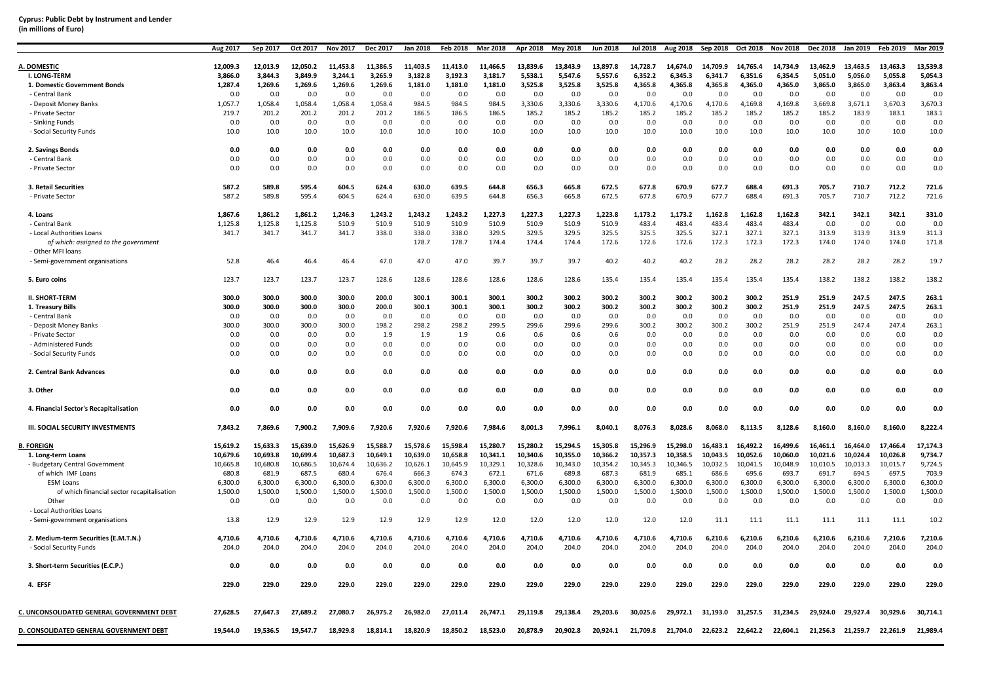| (in millions of Euro) |  |  |
|-----------------------|--|--|
|-----------------------|--|--|

|                                                           | Aug 2017    | Sep 2017    | Oct 2017 | <b>Nov 2017</b> | Dec 2017 | <b>Jan 2018</b> | Feb 2018 | <b>Mar 2018</b> | Apr 2018    | May 2018    | Jun 2018 | <b>Jul 2018</b> | Aug 2018    | Sep 2018    | Oct 2018          | <b>Nov 2018</b> | Dec 2018 | Jan 2019    | Feb 2019 | Mar 2019 |
|-----------------------------------------------------------|-------------|-------------|----------|-----------------|----------|-----------------|----------|-----------------|-------------|-------------|----------|-----------------|-------------|-------------|-------------------|-----------------|----------|-------------|----------|----------|
| A. DOMESTIC                                               | 12,009.3    | 12,013.9    | 12,050.2 | 11,453.8        | 11,386.5 | 11,403.5        | 11,413.0 | 11,466.5        | 13,839.6    | 13,843.9    | 13,897.8 | 14,728.7        | 14,674.0    | 14,709.9    | 14,765.4          | 14,734.9        | 13,462.9 | 13,463.5    | 13,463.3 | 13,539.8 |
| I. LONG-TERM                                              | 3.866.0     | 3.844.3     | 3.849.9  | 3.244.1         | 3.265.9  | 3,182.8         | 3.192.3  | 3,181.7         | 5.538.1     | 5,547.6     | 5.557.6  | 6.352.2         | 6.345.3     | 6.341.7     | 6.351.6           | 6.354.5         | 5.051.0  | 5.056.0     | 5.055.8  | 5.054.3  |
| 1. Domestic Government Bonds                              | 1,287.4     | 1,269.6     | 1,269.6  | 1,269.6         | 1,269.6  | 1,181.0         | 1,181.0  | 1,181.0         | 3,525.8     | 3,525.8     | 3,525.8  | 4,365.8         | 4,365.8     | 4,365.8     | 4,365.0           | 4,365.0         | 3,865.0  | 3,865.0     | 3,863.4  | 3,863.4  |
| - Central Bank                                            | 0.0         | 0.0         | 0.0      | 0.0             | 0.0      | 0.0             | 0.0      | 0.0             | 0.0         | 0.0         | 0.0      | 0.0             | 0.0         | 0.0         | 0.0               | 0.0             | 0.0      | 0.0         | 0.0      | 0.0      |
| - Deposit Money Banks                                     | 1,057.7     | 1,058.4     | 1,058.4  | 1,058.4         | 1,058.4  | 984.5           | 984.5    | 984.5           | 3,330.6     | 3,330.6     | 3,330.6  | 4,170.6         | 4,170.6     | 4,170.6     | 4,169.8           | 4,169.8         | 3,669.8  | 3,671.1     | 3,670.3  | 3,670.3  |
| - Private Sector                                          | 219.7       | 201.2       | 201.2    | 201.2           | 201.2    | 186.5           | 186.5    | 186.5           | 185.2       | 185.2       | 185.2    | 185.2           | 185.2       | 185.2       | 185.2             | 185.2           | 185.2    | 183.9       | 183.1    | 183.1    |
|                                                           |             |             | 0.0      |                 | 0.0      | 0.0             | 0.0      |                 |             |             | 0.0      |                 |             |             |                   |                 | 0.0      |             | 0.0      | 0.0      |
| - Sinking Funds<br>- Social Security Funds                | 0.0<br>10.0 | 0.0<br>10.0 | 10.0     | 0.0<br>10.0     | 10.0     | 10.0            | 10.0     | 0.0<br>10.0     | 0.0<br>10.0 | 0.0<br>10.0 | 10.0     | 0.0<br>10.0     | 0.0<br>10.0 | 0.0<br>10.0 | 0.0<br>10.0       | 0.0<br>10.0     | 10.0     | 0.0<br>10.0 | 10.0     | 10.0     |
|                                                           |             |             |          |                 |          |                 |          |                 |             |             |          |                 |             |             |                   |                 |          |             |          |          |
| 2. Savings Bonds                                          | 0.0         | 0.0         | 0.0      | 0.0             | 0.0      | 0.0             | 0.0      | 0.0             | 0.0         | 0.0         | 0.0      | 0.0             | 0.0         | 0.0         | 0.0               | 0.0             | 0.0      | 0.0         | 0.0      | 0.0      |
| - Central Bank                                            | 0.0         | 0.0         | 0.0      | 0.0             | 0.0      | 0.0             | 0.0      | 0.0             | 0.0         | 0.0         | 0.0      | 0.0             | 0.0         | 0.0         | 0.0               | 0.0             | 0.0      | 0.0         | 0.0      | 0.0      |
| - Private Sector                                          | 0.0         | 0.0         | 0.0      | 0.0             | 0.0      | 0.0             | 0.0      | 0.0             | 0.0         | 0.0         | 0.0      | 0.0             | 0.0         | 0.0         | 0.0               | 0.0             | 0.0      | 0.0         | 0.0      | 0.0      |
| 3. Retail Securities                                      | 587.2       | 589.8       | 595.4    | 604.5           | 624.4    | 630.0           | 639.5    | 644.8           | 656.3       | 665.8       | 672.5    | 677.8           | 670.9       | 677.7       | 688.4             | 691.3           | 705.7    | 710.7       | 712.2    | 721.6    |
| - Private Sector                                          | 587.2       | 589.8       | 595.4    | 604.5           | 624.4    | 630.0           | 639.5    | 644.8           | 656.3       | 665.8       | 672.5    | 677.8           | 670.9       | 677.7       | 688.4             | 691.3           | 705.7    | 710.7       | 712.2    | 721.6    |
| 4. Loans                                                  | 1,867.6     | 1,861.2     | 1,861.2  | 1,246.3         | 1,243.2  | 1,243.2         | 1,243.2  | 1,227.3         | 1,227.3     | 1,227.3     | 1,223.8  | 1,173.2         | 1,173.2     | 1,162.8     | 1,162.8           | 1,162.8         | 342.1    | 342.1       | 342.1    | 331.0    |
| - Central Bank                                            | 1,125.8     | 1,125.8     | 1,125.8  | 510.9           | 510.9    | 510.9           | 510.9    | 510.9           | 510.9       | 510.9       | 510.9    | 483.4           | 483.4       | 483.4       | 483.4             | 483.4           | 0.0      | 0.0         | 0.0      | 0.0      |
| - Local Authorities Loans                                 | 341.7       | 341.7       | 341.7    | 341.7           | 338.0    | 338.0           | 338.0    | 329.5           | 329.5       | 329.5       | 325.5    | 325.5           | 325.5       | 327.1       | 327.1             | 327.1           | 313.9    | 313.9       | 313.9    | 311.3    |
| of which: assigned to the government<br>- Other MFI loans |             |             |          |                 |          | 178.7           | 178.7    | 174.4           | 174.4       | 174.4       | 172.6    | 172.6           | 172.6       | 172.3       | 172.3             | 172.3           | 174.0    | 174.0       | 174.0    | 171.8    |
| - Semi-government organisations                           | 52.8        | 46.4        | 46.4     | 46.4            | 47.0     | 47.0            | 47.0     | 39.7            | 39.7        | 39.7        | 40.2     | 40.2            | 40.2        | 28.2        | 28.2              | 28.2            | 28.2     | 28.2        | 28.2     | 19.7     |
| 5. Euro coins                                             | 123.7       | 123.7       | 123.7    | 123.7           | 128.6    | 128.6           | 128.6    | 128.6           | 128.6       | 128.6       | 135.4    | 135.4           | 135.4       | 135.4       | 135.4             | 135.4           | 138.2    | 138.2       | 138.2    | 138.2    |
| <b>II. SHORT-TERM</b>                                     | 300.0       | 300.0       | 300.0    | 300.0           | 200.0    | 300.1           | 300.1    | 300.1           | 300.2       | 300.2       | 300.2    | 300.2           | 300.2       | 300.2       | 300.2             | 251.9           | 251.9    | 247.5       | 247.5    | 263.1    |
| 1. Treasury Bills                                         | 300.0       | 300.0       | 300.0    | 300.0           | 200.0    | 300.1           | 300.1    | 300.1           | 300.2       | 300.2       | 300.2    | 300.2           | 300.2       | 300.2       | 300.2             | 251.9           | 251.9    | 247.5       | 247.5    | 263.1    |
| - Central Bank                                            | 0.0         | 0.0         | 0.0      | 0.0             | 0.0      | 0.0             | 0.0      | 0.0             | 0.0         | 0.0         | 0.0      | 0.0             | 0.0         | 0.0         | 0.0               | 0.0             | 0.0      | 0.0         | 0.0      | 0.0      |
| - Deposit Money Banks                                     | 300.0       | 300.0       | 300.0    | 300.0           | 198.2    | 298.2           | 298.2    | 299.5           | 299.6       | 299.6       | 299.6    | 300.2           | 300.2       | 300.2       | 300.2             | 251.9           | 251.9    | 247.4       | 247.4    | 263.1    |
| - Private Sector                                          | 0.0         | 0.0         | 0.0      | 0.0             | 1.9      | 1.9             | 1.9      | 0.6             | 0.6         | 0.6         | 0.6      | 0.0             | 0.0         | 0.0         | 0.0               | 0.0             | 0.0      | 0.0         | 0.0      | 0.0      |
| - Administered Funds                                      | 0.0         | 0.0         | 0.0      | 0.0             | 0.0      | 0.0             | 0.0      | 0.0             | 0.0         | 0.0         | 0.0      | 0.0             | 0.0         | 0.0         | 0.0               | 0.0             | 0.0      | 0.0         | 0.0      | 0.0      |
| - Social Security Funds                                   | 0.0         | 0.0         | 0.0      | 0.0             | 0.0      | 0.0             | 0.0      | 0.0             | 0.0         | 0.0         | 0.0      | 0.0             | 0.0         | 0.0         | 0.0               | 0.0             | 0.0      | 0.0         | 0.0      | 0.0      |
| 2. Central Bank Advances                                  | 0.0         | 0.0         | 0.0      | 0.0             | 0.0      | 0.0             | 0.0      | 0.0             | 0.0         | 0.0         | 0.0      | 0.0             | 0.0         | 0.0         | 0.0               | 0.0             | 0.0      | 0.0         | 0.0      | 0.0      |
| 3. Other                                                  | 0.0         | 0.0         | 0.0      | 0.0             | 0.0      | 0.0             | 0.0      | 0.0             | 0.0         | 0.0         | 0.0      | 0.0             | 0.0         | 0.0         | 0.0               | 0.0             | 0.0      | 0.0         | 0.0      | 0.0      |
| 4. Financial Sector's Recapitalisation                    | 0.0         | 0.0         | 0.0      | 0.0             | 0.0      | 0.0             | 0.0      | 0.0             | 0.0         | 0.0         | 0.0      | 0.0             | 0.0         | 0.0         | 0.0               | 0.0             | 0.0      | 0.0         | 0.0      | 0.0      |
| III. SOCIAL SECURITY INVESTMENTS                          | 7,843.2     | 7,869.6     | 7,900.2  | 7,909.6         | 7,920.6  | 7,920.6         | 7,920.6  | 7,984.6         | 8,001.3     | 7,996.1     | 8,040.1  | 8,076.3         | 8,028.6     | 8.068.0     | 8.113.5           | 8,128.6         | 8,160.0  | 8,160.0     | 8.160.0  | 8,222.4  |
| <b>B. FOREIGN</b>                                         | 15,619.2    | 15,633.3    | 15,639.0 | 15,626.9        | 15,588.7 | 15,578.6        | 15,598.4 | 15,280.7        | 15.280.2    | 15,294.5    | 15,305.8 | 15,296.9        | 15,298.0    | 16,483.1    | 16.492.2          | 16,499.6        | 16,461.1 | 16,464.0    | 17.466.4 | 17,174.3 |
| 1. Long-term Loans                                        | 10,679.6    | 10,693.8    | 10,699.4 | 10,687.3        | 10,649.1 | 10,639.0        | 10,658.8 | 10,341.1        | 10,340.6    | 10,355.0    | 10,366.2 | 10,357.3        | 10,358.5    | 10,043.5    | 10,052.6          | 10,060.0        | 10,021.6 | 10,024.4    | 10,026.8 | 9,734.7  |
| - Budgetary Central Government                            | 10,665.8    | 10,680.8    | 10,686.5 | 10,674.4        | 10,636.2 | 10,626.1        | 10,645.9 | 10,329.1        | 10,328.6    | 10,343.0    | 10,354.2 | 10,345.3        | 10,346.5    | 10,032.5    | 10,041.5          | 10,048.9        | 10,010.5 | 10,013.3    | 10,015.7 | 9,724.5  |
| of which IMF Loans                                        | 680.8       | 681.9       | 687.5    | 680.4           | 676.4    | 666.3           | 674.3    | 672.1           | 671.6       | 689.8       | 687.3    | 681.9           | 685.1       | 686.6       | 695.6             | 693.7           | 691.7    | 694.5       | 697.5    | 703.9    |
| <b>ESM Loans</b>                                          | 6,300.0     | 6,300.0     | 6,300.0  | 6,300.0         | 6,300.0  | 6,300.0         | 6,300.0  | 6,300.0         | 6,300.0     | 6,300.0     | 6,300.0  | 6,300.0         | 6,300.0     | 6,300.0     | 6,300.0           | 6,300.0         | 6,300.0  | 6,300.0     | 6,300.0  | 6,300.0  |
| of which financial sector recapitalisation                | 1,500.0     | 1,500.0     | 1,500.0  | 1,500.0         | 1,500.0  | 1,500.0         | 1,500.0  | 1,500.0         | 1,500.0     | 1,500.0     | 1,500.0  | 1,500.0         | 1,500.0     | 1,500.0     | 1,500.0           | 1,500.0         | 1,500.0  | 1,500.0     | 1,500.0  | 1,500.0  |
| Other                                                     | 0.0         | 0.0         | 0.0      | 0.0             | 0.0      | 0.0             | 0.0      | 0.0             | 0.0         | 0.0         | 0.0      | 0.0             | 0.0         | 0.0         | 0.0               | 0.0             | 0.0      | 0.0         | 0.0      | 0.0      |
| - Local Authorities Loans                                 |             |             |          |                 |          |                 |          |                 |             |             |          |                 |             |             |                   |                 |          |             |          |          |
| - Semi-government organisations                           | 13.8        | 12.9        | 12.9     | 12.9            | 12.9     | 12.9            | 12.9     | 12.0            | 12.0        | 12.0        | 12.0     | 12.0            | 12.0        | 11.1        | 11.1              | 11.1            | 11.1     | 11.1        | 11.1     | 10.2     |
| 2. Medium-term Securities (E.M.T.N.)                      | 4,710.6     | 4,710.6     | 4,710.6  | 4,710.6         | 4,710.6  | 4,710.6         | 4,710.6  | 4,710.6         | 4,710.6     | 4,710.6     | 4,710.6  | 4,710.6         | 4,710.6     | 6,210.6     | 6,210.6           | 6,210.6         | 6,210.6  | 6,210.6     | 7,210.6  | 7,210.6  |
| - Social Security Funds                                   | 204.0       | 204.0       | 204.0    | 204.0           | 204.0    | 204.0           | 204.0    | 204.0           | 204.0       | 204.0       | 204.0    | 204.0           | 204.0       | 204.0       | 204.0             | 204.0           | 204.0    | 204.0       | 204.0    | 204.0    |
| 3. Short-term Securities (E.C.P.)                         | 0.0         | 0.0         | 0.0      | 0.0             | 0.0      | 0.0             | 0.0      | 0.0             | 0.0         | 0.0         | 0.0      | 0.0             | 0.0         | 0.0         | 0.0               | 0.0             | 0.0      | 0.0         | 0.0      | 0.0      |
| 4. EFSF                                                   | 229.0       | 229.0       | 229.0    | 229.0           | 229.0    | 229.0           | 229.0    | 229.0           | 229.0       | 229.0       | 229.0    | 229.0           | 229.0       | 229.0       | 229.0             | 229.0           | 229.0    | 229.0       | 229.0    | 229.0    |
|                                                           |             |             |          |                 |          |                 |          |                 |             |             |          |                 |             |             |                   |                 |          |             |          |          |
| C. UNCONSOLIDATED GENERAL GOVERNMENT DEBT                 | 27,628.5    | 27,647.3    | 27.689.2 | 27,080.7        | 26.975.2 | 26,982.0        | 27,011.4 | 26,747.1        | 29.119.8    | 29.138.4    | 29,203.6 | 30,025.6        | 29,972.1    | 31,193.0    | 31,257.5          | 31.234.5        | 29.924.0 | 29,927.4    | 30,929.6 | 30,714.1 |
| D. CONSOLIDATED GENERAL GOVERNMENT DEBT                   | 19.544.0    | 19,536.5    | 19.547.7 | 18,929.8        | 18.814.1 | 18.820.9        | 18,850.2 | 18,523.0        | 20,878.9    | 20,902.8    | 20,924.1 | 21,709.8        | 21,704.0    |             | 22,623.2 22,642.2 | 22,604.1        | 21,256.3 | 21.259.7    | 22,261.9 | 21,989.4 |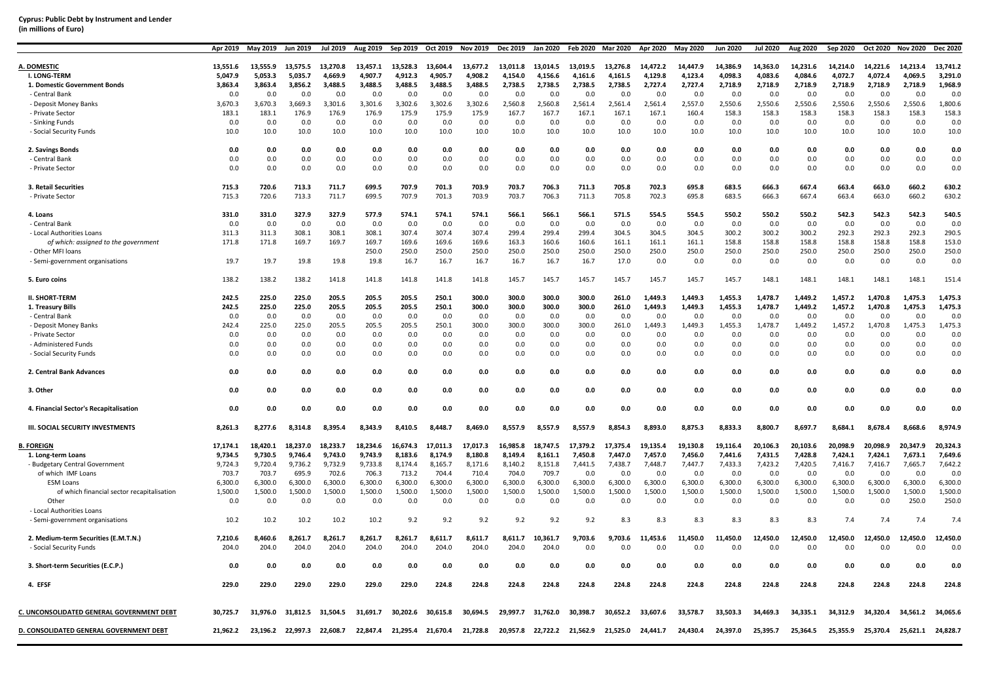### **Cyprus: Public Debt by Instrument and Lender (in millions of Euro)**

|                                                                 | Apr 2019         | Mav 2019         | <b>Jun 20</b>    | Jul 2019         | Aug 2019         | Sep 2019         | Oct 2019         | <b>Nov 2019</b>  | <b>Dec 2019</b>  | Jan 2020         | <b>Feb 2020</b> | Mar 2020       | Apr 2020       | May 2020           | <b>Jun 2020</b> | Jul 2020        | Aug 2020        | Sep 2020        | Oct 2020       | Nov 2020           | <b>Dec 2020</b> |
|-----------------------------------------------------------------|------------------|------------------|------------------|------------------|------------------|------------------|------------------|------------------|------------------|------------------|-----------------|----------------|----------------|--------------------|-----------------|-----------------|-----------------|-----------------|----------------|--------------------|-----------------|
| A. DOMESTIC                                                     | 13,551.6         | 13,555.9         | 13,575.5         | 13,270.8         | 13,457.1         | 13,528.3         | 13,604.4         | 13,677.2         | 13,011.8         | 13,014.5         | 13,019.5        | 13,276.8       | 14,472.2       | 14,447.9           | 14,386.9        | 14,363.0        | 14,231.6        | 14,214.0        | 14,221.6       | 14,213.4           | 13,741.2        |
| <b>I. LONG-TERM</b>                                             | 5.047.9          | 5.053.3          | 5.035.7          | 4.669.9          | 4.907.7          | 4.912.3          | 4.905.7          | 4.908.2          | 4.154.0          | 4.156.6          | 4.161.6         | 4.161.5        | 4.129.8        | 4.123.4            | 4,098.3         | 4.083.6         | 4.084.6         | 4.072.7         | 4.072.4        | 4.069.5            | 3.291.0         |
| 1. Domestic Government Bonds                                    | 3,863.4          | 3,863.4          | 3,856.2          | 3,488.5          | 3,488.5          | 3,488.5          | 3,488.5          | 3,488.5          | 2,738.5          | 2,738.5          | 2,738.5         | 2,738.5        | 2,727.4        | 2,727.4            | 2,718.9         | 2,718.9         | 2,718.9         | 2,718.9         | 2,718.9        | 2,718.9            | 1,968.9         |
| - Central Bank                                                  | 0.0              | 0.0              | 0.0              | 0.0              | 0.0              | 0.0              | 0.0              | 0.0              | 0.0              | 0.0              | 0.0             | 0.0            | 0.0            | 0.0                | 0.0             | 0.0             | 0.0             | 0.0             | 0.0            | 0.0                | 0.0             |
| - Deposit Money Banks                                           | 3,670.3          | 3,670.3          | 3,669.3          | 3,301.6          | 3,301.6          | 3,302.6          | 3,302.6          | 3,302.6          | 2,560.8          | 2,560.8          | 2,561.4         | 2,561.4        | 2,561.4        | 2,557.0            | 2,550.6         | 2,550.6         | 2,550.6         | 2,550.6         | 2,550.6        | 2,550.6            | 1,800.6         |
|                                                                 |                  |                  |                  |                  |                  |                  |                  |                  |                  |                  |                 |                |                |                    |                 |                 |                 |                 |                |                    |                 |
| - Private Sector                                                | 183.1            | 183.1            | 176.9            | 176.9            | 176.9            | 175.9            | 175.9            | 175.9            | 167.7            | 167.7            | 167.1           | 167.1          | 167.1          | 160.4              | 158.3           | 158.3           | 158.3           | 158.3           | 158.3          | 158.3              | 158.3           |
| - Sinking Funds                                                 | 0.0              | 0.0              | 0.0              | 0.0              | 0.0              | 0.0              | 0.0              | 0.0              | 0.0              | 0.0              | 0.0             | 0.0            | 0.0            | 0.0                | 0.0             | 0.0             | 0.0             | 0.0             | 0.0            | 0.0                | 0.0             |
| - Social Security Funds                                         | 10.0             | 10.0             | 10.0             | 10.0             | 10.0             | 10.0             | 10.0             | 10.0             | 10.0             | 10.0             | 10.0            | 10.0           | 10.0           | 10.0               | 10.0            | 10.0            | 10.0            | 10.0            | 10.0           | 10.0               | 10.0            |
| 2. Savings Bonds                                                | 0.0              | 0.0              | 0.0              | 0.0              | 0.0              | 0.0              | 0.0              | 0.0              | 0.0              | 0.0              | 0.0             | 0.0            | 0.0            | 0.0                | 0.0             | 0.0             | 0.0             | 0.0             | 0.0            | 0.0                | 0.0             |
| - Central Bank                                                  | 0.0              | 0.0              | 0.0              | 0.0              | 0.0              | 0.0              | 0.0              | 0.0              | 0.0              | 0.0              | 0.0             | 0.0            | 0.0            | 0.0                | 0.0             | 0.0             | 0.0             | 0.0             | 0.0            | 0.0                | 0.0             |
| - Private Sector                                                | 0.0              | 0.0              | 0.0              | 0.0              | 0.0              | 0.0              | 0.0              | 0.0              | 0.0              | 0.0              | 0.0             | 0.0            | 0.0            | 0.0                | 0.0             | 0.0             | 0.0             | 0.0             | 0.0            | 0.0                | 0.0             |
| 3. Retail Securities                                            | 715.3            | 720.6            | 713.3            | 711.7            | 699.5            | 707.9            | 701.3            | 703.9            | 703.7            | 706.3            | 711.3           | 705.8          | 702.3          | 695.8              | 683.5           | 666.3           | 667.4           | 663.4           | 663.0          | 660.2              | 630.2           |
| - Private Sector                                                | 715.3            | 720.6            | 713.3            | 711.7            | 699.5            | 707.9            | 701.3            | 703.9            | 703.7            | 706.3            | 711.3           | 705.8          | 702.3          | 695.8              | 683.5           | 666.3           | 667.4           | 663.4           | 663.0          | 660.2              | 630.2           |
| 4. Loans                                                        | 331.0            | 331.0            | 327.9            | 327.9            | 577.9            | 574.1            | 574.1            | 574.1            | 566.1            | 566.1            | 566.1           | 571.5          | 554.5          | 554.5              | 550.2           | 550.2           | 550.2           | 542.3           | 542.3          | 542.3              | 540.5           |
| - Central Bank                                                  | 0.0              | 0.0              | 0.0              | 0.0              | 0.0              | 0.0              | 0.0              | 0.0              | 0.0              | 0.0              | 0.0             | 0.0            | 0.0            | 0.0                | 0.0             | 0.0             | 0.0             | 0.0             | 0.0            | 0.0                | 0.0             |
| - Local Authorities Loans                                       | 311.3            | 311.3            | 308.1            | 308.1            | 308.1            | 307.4            | 307.4            | 307.4            | 299.4            | 299.4            | 299.4           | 304.5          | 304.5          | 304.5              | 300.2           | 300.2           | 300.2           | 292.3           | 292.3          | 292.3              | 290.5           |
| of which: assigned to the government                            | 171.8            | 171.8            | 169.7            | 169.7            | 169.7            | 169.6            | 169.6            | 169.6            | 163.3            | 160.6            | 160.6           | 161.1          | 161.1          | 161.1              | 158.8           | 158.8           | 158.8           | 158.8           | 158.8          | 158.8              | 153.0           |
| - Other MFI loans                                               |                  |                  |                  |                  | 250.0            | 250.0            | 250.0            | 250.0            | 250.0            | 250.0            | 250.0           | 250.0          | 250.0          | 250.0              | 250.0           | 250.0           | 250.0           | 250.0           | 250.0          | 250.0              | 250.0           |
| - Semi-government organisations                                 | 19.7             | 19.7             | 19.8             | 19.8             | 19.8             | 16.7             | 16.7             | 16.7             | 16.7             | 16.7             | 16.7            | 17.0           | 0.0            | 0.0                | 0.0             | 0.0             | 0.0             | 0.0             | 0.0            | 0.0                | 0.0             |
| 5. Euro coins                                                   | 138.2            | 138.2            | 138.2            | 141.8            | 141.8            | 141.8            | 141.8            | 141.8            | 145.7            | 145.7            | 145.7           | 145.7          | 145.7          | 145.7              | 145.7           | 148.1           | 148.1           | 148.1           | 148.1          | 148.1              | 151.4           |
| <b>II. SHORT-TERM</b>                                           | 242.5            | 225.0            | 225.0            | 205.5            | 205.5            | 205.5            | 250.1            | 300.0            | 300.0            | 300.0            | 300.0           | 261.0          | 1,449.3        | 1,449.3            | 1,455.3         | 1.478.7         | 1.449.2         | 1,457.2         | 1.470.8        | 1,475.3            | 1,475.3         |
| 1. Treasury Bills                                               | 242.5            | 225.0            | 225.0            | 205.5            | 205.5            | 205.5            | 250.1            | 300.0            | 300.0            | 300.0            | 300.0           | 261.0          | 1.449.3        | 1.449.3            | 1.455.3         | 1.478.7         | 1.449.2         | 1.457.2         | 1.470.8        | 1.475.3            | 1.475.3         |
| - Central Bank                                                  | 0.0              | 0.0              | 0.0              | 0.0              | 0.0              | 0.0              | 0.0              | 0.0              | 0.0              | 0.0              | 0.0             | 0.0            | 0.0            | 0.0                | 0.0             | 0.0             | 0.0             | 0.0             | 0.0            | 0.0                | 0.0             |
| - Deposit Money Banks                                           | 242.4            | 225.0            | 225.0            | 205.5            | 205.5            | 205.5            | 250.1            | 300.0            | 300.0            | 300.0            | 300.0           | 261.0          | 1,449.3        | 1,449.3            | 1,455.3         | 1,478.7         | 1,449.2         | 1,457.2         | 1,470.8        | 1,475.3            | 1,475.3         |
| - Private Sector                                                | 0.0              | 0.0              | 0.0              | 0.0              | 0.0              | 0.0              | 0.0              | 0.0              | 0.0              | 0.0              | 0.0             | 0.0            | 0.0            | 0.0                | 0.0             | 0.0             | 0.0             | 0.0             | 0.0            | 0.0                | 0.0             |
| - Administered Funds                                            | 0.0              | 0.0              | 0.0              | 0.0              | 0.0              | 0.0              | 0.0              | 0.0              | 0.0              | 0.0              | 0.0             | 0.0            | 0.0            | 0.0                | 0.0             | 0.0             | 0.0             | 0.0             | 0.0            | 0.0                | 0.0             |
| - Social Security Funds                                         | 0.0              | 0.0              | 0.0              | 0.0              | 0.0              | 0.0              | 0.0              | 0.0              | 0.0              | 0.0              | 0.0             | 0.0            | 0.0            | 0.0                | 0.0             | 0.0             | 0.0             | 0.0             | 0.0            | 0.0                | 0.0             |
| 2. Central Bank Advances                                        | 0.0              | 0.0              | 0.0              | 0.0              | 0.0              | 0.0              | 0.0              | 0.0              | 0.0              | 0.0              | 0.0             | 0.0            | 0.0            | 0.0                | 0.0             | 0.0             | 0.0             | 0.0             | 0.0            | 0.0                | 0.0             |
| 3. Other                                                        | 0.0              | 0.0              | 0.0              | 0.0              | 0.0              | 0.0              | 0.0              | 0.0              | 0.0              | 0.0              | 0.0             | 0.0            | 0.0            | 0.0                | 0.0             | 0.0             | 0.0             | 0.0             | 0.0            | 0.0                | 0.0             |
| 4. Financial Sector's Recapitalisation                          | 0.0              | 0.0              | 0.0              | 0.0              | 0.0              | 0.0              | 0.0              | 0.0              | 0.0              | 0.0              | 0.0             | 0.0            | 0.0            | 0.0                | 0.0             | 0.0             | 0.0             | 0.0             | 0.0            | 0.0                | 0.0             |
| <b>III. SOCIAL SECURITY INVESTMENTS</b>                         | 8,261.3          | 8,277.6          |                  | 8,395.4          | 8.343.9          | 8,410.5          | 8.448.7          | 8,469.0          | 8,557.9          | 8.557.9          | 8.557.9         | 8,854.3        | 8,893.0        | 8,875.3            | 8,833.3         | 8,800.7         | 8,697.7         | 8,684.1         | 8,678.4        | 8,668.6            | 8,974.9         |
| <b>FOREIGN</b>                                                  | 17,174.1         | 18,420.1         | 18.237.0         | 18.233.7         | 18,234.6         | 16,674.3         | 17,011.3         | 17,017.3         | 16,985.8         | 18,747.5         | 17,379.2        | 17,375.4       | 19,135.4       | 19,130.8           | 19,116.4        | 20,106.3        | 20,103.6        | 20,098.9        | 20,098.9       | 20,347.9           | 20,324.3        |
| 1. Long-term Loans                                              | 9.734.5          | 9.730.5          | 9.746.4          | 9.743.0          | 9.743.9          | 8.183.6          | 8.174.9          | 8.180.8          | 8.149.4          | 8.161.1          | 7.450.8         | 7.447.0        | 7,457.0        | 7,456.0            | 7,441.6         | 7,431.5         | 7,428.8         | 7.424.1         | 7,424.1        | 7.673.1            | 7.649.6         |
|                                                                 | 9,724.3          | 9,720.4          |                  | 9,732.9          | 9,733.8          |                  | 8,165.7          | 8,171.6          | 8,140.2          |                  |                 | 7,438.7        | 7,448.7        | 7,447.7            | 7,433.3         | 7,423.2         | 7,420.5         |                 |                | 7,665.7            | 7,642.2         |
| - Budgetary Central Government<br>of which IMF Loans            | 703.7            | 703.7            | 9,736.2<br>695.9 | 702.6            | 706.3            | 8,174.4<br>713.2 | 704.4            | 710.4            | 704.0            | 8,151.8<br>709.7 | 7,441.5<br>0.0  | 0.0            | 0.0            | 0.0                | 0.0             | 0.0             | 0.0             | 7,416.7<br>0.0  | 7,416.7<br>0.0 | 0.0                | 0.0             |
|                                                                 |                  |                  |                  |                  |                  |                  |                  |                  |                  |                  |                 |                |                |                    |                 |                 |                 |                 |                |                    | 6,300.0         |
| <b>ESM Loans</b>                                                | 6,300.0          | 6,300.0          | 6,300.0          | 6,300.0          | 6,300.0          | 6,300.0          | 6,300.0          | 6,300.0          | 6,300.0          | 6,300.0          | 6,300.0         | 6,300.0        | 6,300.0        | 6,300.0<br>1,500.0 | 6,300.0         | 6,300.0         | 6,300.0         | 6,300.0         | 6,300.0        | 6,300.0<br>1,500.0 |                 |
| of which financial sector recapitalisation                      | 1,500.0          | 1,500.0          | 1,500.0          | 1,500.0          | 1,500.0          | 1,500.0          | 1,500.0          | 1,500.0          | 1,500.0          | 1,500.0          | 1,500.0         | 1,500.0        | 1,500.0        |                    | 1,500.0         | 1,500.0         | 1,500.0         | 1,500.0         | 1,500.0        |                    | 1,500.0         |
| Other                                                           | 0.0              | 0.0              | 0.0              | 0.0              | 0.0              | 0.0              | 0.0              | 0.0              | 0.0              | 0.0              | 0.0             | 0.0            | 0.0            | 0.0                | 0.0             | 0.0             | 0.0             | 0.0             | 0.0            | 250.0              | 250.0           |
| - Local Authorities Loans<br>- Semi-government organisations    | 10.2             | 10.2             | 10.2             | 10.2             | 10.2             | 9.2              | 9.2              | 9.2              | 9.2              | 9.2              | 9.2             | 8.3            | 8.3            | 8.3                | 8.3             | 8.3             | 8.3             | 7.4             | 7.4            | 7.4                | 7.4             |
|                                                                 |                  |                  |                  |                  |                  |                  |                  |                  |                  |                  |                 |                |                |                    |                 |                 |                 |                 |                |                    |                 |
| 2. Medium-term Securities (E.M.T.N.)<br>- Social Security Funds | 7,210.6<br>204.0 | 8.460.6<br>204.0 | 8.261.7<br>204.0 | 8.261.7<br>204.0 | 8.261.7<br>204.0 | 8.261.7<br>204.0 | 8.611.7<br>204.0 | 8.611.7<br>204.0 | 8.611.7<br>204.0 | .361.7<br>204.0  | 9.703.6<br>0.0  | 9.703.6<br>0.0 | L,453.6<br>0.0 | 11.450.0<br>0.0    | 11.450.0<br>0.0 | 12.450.0<br>0.0 | 12.450.0<br>0.0 | 12.450.0<br>0.0 | 2.450.0<br>0.0 | .450.0<br>0.0      | 12.450.0<br>0.0 |
| 3. Short-term Securities (E.C.P.)                               | 0.0              | 0.0              | 0.0              | 0.0              | 0.0              | 0.0              | 0.0              | 0.0              | 0.0              | 0.0              | 0.0             | 0.0            | 0.0            | 0.0                | 0.0             | 0.0             | 0.0             | 0.0             | 0.0            | 0.0                | 0.0             |
| 4. EFSF                                                         | 229.0            | 229.0            | 229.0            | 229.0            | 229.0            | 229.0            | 224.8            | 224.8            | 224.8            | 224.8            | 224.8           | 224.8          | 224.8          | 224.8              | 224.8           | 224.8           | 224.8           | 224.8           | 224.8          | 224.8              | 224.8           |
| C. UNCONSOLIDATED GENERAL GOVERNMENT DEBT                       | 30,725.7         | 31.976.0         | 31.812.5         | 31.504.5         | 31.691.7         | 30.202.6         | 30.615.8         | 30.694.5         | 29.997.7         | 31.762.0         | 30.398.7        | 30.652.2       | 33,607.6       | 33.578.7           | 33.503.3        | 34.469.3        | 34.335.1        | 34.312.9        | 34.320.4       | 34.561.2           | 34,065.6        |
| D. CONSOLIDATED GENERAL GOVERNMENT DEBT                         | 21,962.2         | 23,196.2         | 22,997.3         | 22,608.7         | 22,847.4         | 21,295.4         | 21,670.4         | 21,728.8         | 20,957.8         | 22,722.2         | 21,562.9        | 21,525.0       | 24,441.7       | 24,430.4           | 24,397.0        | 25,395.7        | 25,364.5        | 25,355.9        | 25,370.4       | 25,621.1           | 24,828.7        |
|                                                                 |                  |                  |                  |                  |                  |                  |                  |                  |                  |                  |                 |                |                |                    |                 |                 |                 |                 |                |                    |                 |